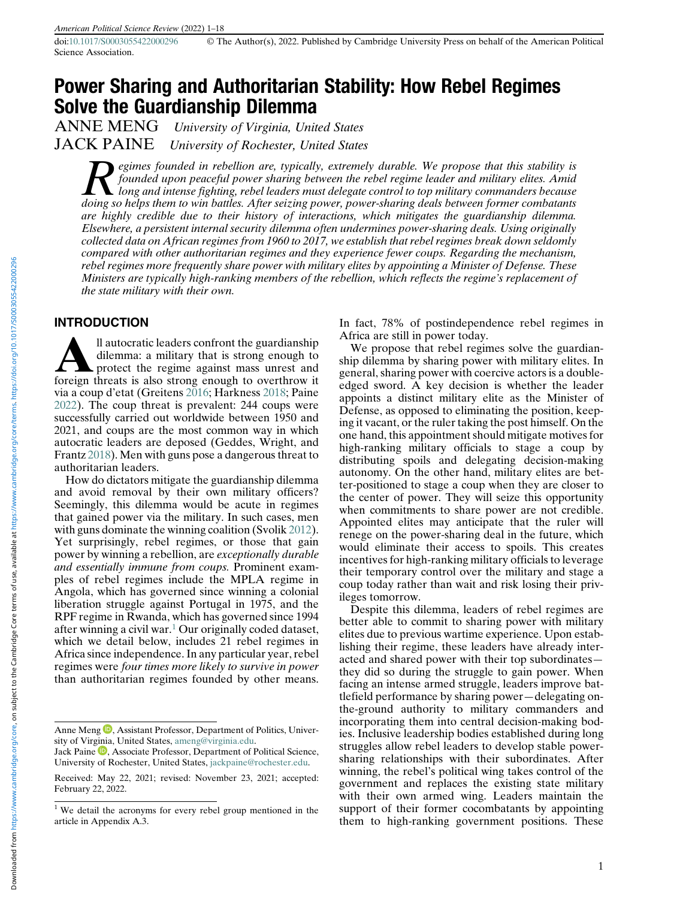Science Association.

# Power Sharing and Authoritarian Stability: How Rebel Regimes **Solve the Guardianship Dilemma**<br>ANNE MENG *University of Virginia, Unit*

University of Virginia, United States JACK PAINE University of Rochester, United States

egimes founded in rebellion are, typically, extremely durable. We propose that this stability is founded upon peaceful power sharing between the rebel regime leader and military elites. Amid long and intense fighting, rebel leaders must delegate control to top military commanders because doing so helps them to win battles. After seizing power, power-sharing deals between former combatants are highly credible due to their history of interactions, which mitigates the guardianship dilemma. Elsewhere, a persistent internal security dilemma often undermines power-sharing deals. Using originally collected data on African regimes from 1960 to 2017, we establish that rebel regimes break down seldomly compared with other authoritarian regimes and they experience fewer coups. Regarding the mechanism, rebel regimes more frequently share power with military elites by appointing a Minister of Defense. These Ministers are typically high-ranking members of the rebellion, which reflects the regime's replacement of the state military with their own.

## INTRODUCTION

**All autocratic leaders confront the guardianship** dilemma: a military that is strong enough to protect the regime against mass unrest and foreign threats is also strong enough to overthrow it dilemma: a military that is strong enough to protect the regime against mass unrest and via a coup d'etat (Greitens [2016;](#page-16-0) Harkness [2018;](#page-16-1) Paine [2022\)](#page-17-0). The coup threat is prevalent: 244 coups were successfully carried out worldwide between 1950 and 2021, and coups are the most common way in which autocratic leaders are deposed (Geddes, Wright, and Frantz [2018\)](#page-16-2). Men with guns pose a dangerous threat to authoritarian leaders.

How do dictators mitigate the guardianship dilemma and avoid removal by their own military officers? Seemingly, this dilemma would be acute in regimes that gained power via the military. In such cases, men with guns dominate the winning coalition (Svolik [2012\)](#page-17-1). Yet surprisingly, rebel regimes, or those that gain power by winning a rebellion, are exceptionally durable and essentially immune from coups. Prominent examples of rebel regimes include the MPLA regime in Angola, which has governed since winning a colonial liberation struggle against Portugal in 1975, and the RPF regime in Rwanda, which has governed since 1994 after winning a civil war.<sup>[1](#page-0-0)</sup> Our originally coded dataset, which we detail below, includes 21 rebel regimes in Africa since independence. In any particular year, rebel regimes were four times more likely to survive in power than authoritarian regimes founded by other means.

In fact, 78% of postindependence rebel regimes in Africa are still in power today.

We propose that rebel regimes solve the guardianship dilemma by sharing power with military elites. In general, sharing power with coercive actors is a doubleedged sword. A key decision is whether the leader appoints a distinct military elite as the Minister of Defense, as opposed to eliminating the position, keeping it vacant, or the ruler taking the post himself. On the one hand, this appointment should mitigate motives for high-ranking military officials to stage a coup by distributing spoils and delegating decision-making autonomy. On the other hand, military elites are better-positioned to stage a coup when they are closer to the center of power. They will seize this opportunity when commitments to share power are not credible. Appointed elites may anticipate that the ruler will renege on the power-sharing deal in the future, which would eliminate their access to spoils. This creates incentives for high-ranking military officials to leverage their temporary control over the military and stage a coup today rather than wait and risk losing their privileges tomorrow.

Despite this dilemma, leaders of rebel regimes are better able to commit to sharing power with military elites due to previous wartime experience. Upon establishing their regime, these leaders have already interacted and shared power with their top subordinates they did so during the struggle to gain power. When facing an intense armed struggle, leaders improve battlefield performance by sharing power—delegating onthe-ground authority to military commanders and incorporating them into central decision-making bodies. Inclusive leadership bodies established during long struggles allow rebel leaders to develop stable powersharing relationships with their subordinates. After winning, the rebel's political wing takes control of the government and replaces the existing state military with their own armed wing. Leaders maintain the support of their former cocombatants by appointing them to high-ranking government positions. These

Anne Meng **D**, Assistant Professor, Department of Politics, University of Vir[ginia](https://orcid.org/0000-0002-2213-7687), United States, [ameng@virginia.edu.](mailto:ameng@virginia.edu)

Jack Paine  $\mathbb D$ , Associate Professor, Department of Political Science, University of Rochester, United States, [jackpaine@rochester.edu](mailto:jackpaine@rochester.edu).

Received: May 22, 2021; revised: November 23, 2021; accepted: February 22, 2022.

<span id="page-0-0"></span><sup>&</sup>lt;sup>1</sup> We detail the acronyms for every rebel group mentioned in the article in Appendix A.3.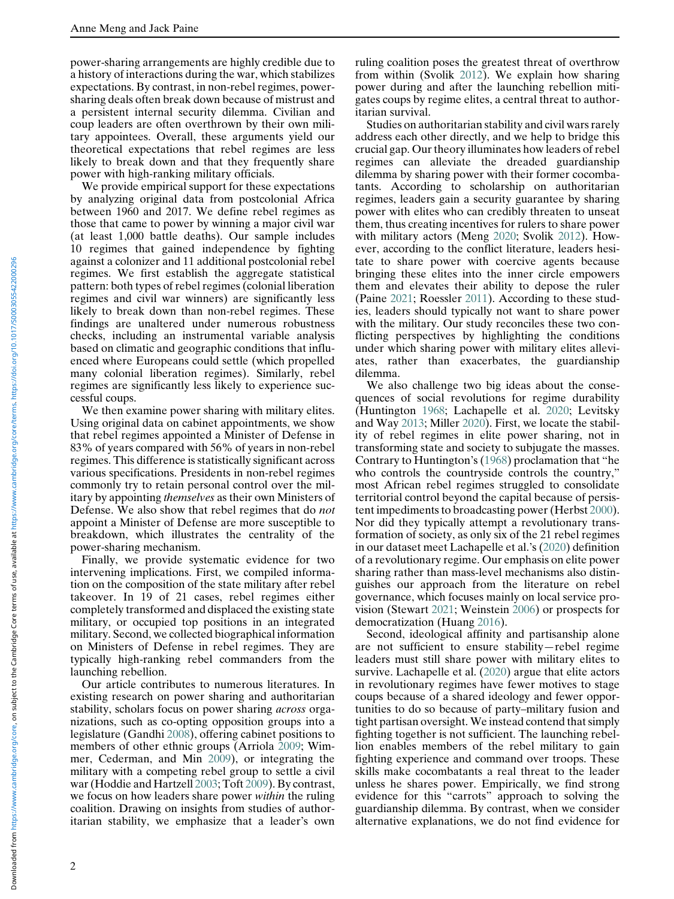power-sharing arrangements are highly credible due to a history of interactions during the war, which stabilizes expectations. By contrast, in non-rebel regimes, powersharing deals often break down because of mistrust and a persistent internal security dilemma. Civilian and coup leaders are often overthrown by their own military appointees. Overall, these arguments yield our theoretical expectations that rebel regimes are less likely to break down and that they frequently share power with high-ranking military officials.

We provide empirical support for these expectations by analyzing original data from postcolonial Africa between 1960 and 2017. We define rebel regimes as those that came to power by winning a major civil war (at least 1,000 battle deaths). Our sample includes 10 regimes that gained independence by fighting against a colonizer and 11 additional postcolonial rebel regimes. We first establish the aggregate statistical pattern: both types of rebel regimes (colonial liberation regimes and civil war winners) are significantly less likely to break down than non-rebel regimes. These findings are unaltered under numerous robustness checks, including an instrumental variable analysis based on climatic and geographic conditions that influenced where Europeans could settle (which propelled many colonial liberation regimes). Similarly, rebel regimes are significantly less likely to experience successful coups.

We then examine power sharing with military elites. Using original data on cabinet appointments, we show that rebel regimes appointed a Minister of Defense in 83% of years compared with 56% of years in non-rebel regimes. This difference is statistically significant across various specifications. Presidents in non-rebel regimes commonly try to retain personal control over the military by appointing themselves as their own Ministers of Defense. We also show that rebel regimes that do not appoint a Minister of Defense are more susceptible to breakdown, which illustrates the centrality of the power-sharing mechanism.

Finally, we provide systematic evidence for two intervening implications. First, we compiled information on the composition of the state military after rebel takeover. In 19 of 21 cases, rebel regimes either completely transformed and displaced the existing state military, or occupied top positions in an integrated military. Second, we collected biographical information on Ministers of Defense in rebel regimes. They are typically high-ranking rebel commanders from the launching rebellion.

Our article contributes to numerous literatures. In existing research on power sharing and authoritarian stability, scholars focus on power sharing across organizations, such as co-opting opposition groups into a legislature (Gandhi [2008](#page-16-3)), offering cabinet positions to members of other ethnic groups (Arriola [2009](#page-16-4); Wimmer, Cederman, and Min [2009](#page-17-2)), or integrating the military with a competing rebel group to settle a civil war (Hoddie and Hartzell [2003;](#page-16-5) Toft [2009](#page-17-3)). By contrast, we focus on how leaders share power *within* the ruling coalition. Drawing on insights from studies of authoritarian stability, we emphasize that a leader's own

ruling coalition poses the greatest threat of overthrow from within (Svolik [2012](#page-17-1)). We explain how sharing power during and after the launching rebellion mitigates coups by regime elites, a central threat to authoritarian survival.

Studies on authoritarian stability and civil wars rarely address each other directly, and we help to bridge this crucial gap. Our theory illuminates how leaders of rebel regimes can alleviate the dreaded guardianship dilemma by sharing power with their former cocombatants. According to scholarship on authoritarian regimes, leaders gain a security guarantee by sharing power with elites who can credibly threaten to unseat them, thus creating incentives for rulers to share power with military actors (Meng [2020;](#page-17-4) Svolik [2012\)](#page-17-1). However, according to the conflict literature, leaders hesitate to share power with coercive agents because bringing these elites into the inner circle empowers them and elevates their ability to depose the ruler (Paine [2021](#page-17-5); Roessler [2011](#page-17-6)). According to these studies, leaders should typically not want to share power with the military. Our study reconciles these two conflicting perspectives by highlighting the conditions under which sharing power with military elites alleviates, rather than exacerbates, the guardianship dilemma.

We also challenge two big ideas about the consequences of social revolutions for regime durability (Huntington [1968;](#page-17-0) Lachapelle et al. [2020;](#page-17-7) Levitsky and Way [2013;](#page-17-8) Miller [2020\)](#page-17-9). First, we locate the stability of rebel regimes in elite power sharing, not in transforming state and society to subjugate the masses. Contrary to Huntington's ([1968\)](#page-17-0) proclamation that "he who controls the countryside controls the country," most African rebel regimes struggled to consolidate territorial control beyond the capital because of persistent impediments to broadcasting power (Herbst [2000\)](#page-16-6). Nor did they typically attempt a revolutionary transformation of society, as only six of the 21 rebel regimes in our dataset meet Lachapelle et al.'s ([2020\)](#page-17-7) definition of a revolutionary regime. Our emphasis on elite power sharing rather than mass-level mechanisms also distinguishes our approach from the literature on rebel governance, which focuses mainly on local service provision (Stewart [2021](#page-17-10); Weinstein [2006\)](#page-17-11) or prospects for democratization (Huang [2016\)](#page-16-7).

Second, ideological affinity and partisanship alone are not sufficient to ensure stability—rebel regime leaders must still share power with military elites to survive. Lachapelle et al. [\(2020](#page-17-7)) argue that elite actors in revolutionary regimes have fewer motives to stage coups because of a shared ideology and fewer opportunities to do so because of party–military fusion and tight partisan oversight. We instead contend that simply fighting together is not sufficient. The launching rebellion enables members of the rebel military to gain fighting experience and command over troops. These skills make cocombatants a real threat to the leader unless he shares power. Empirically, we find strong evidence for this "carrots" approach to solving the guardianship dilemma. By contrast, when we consider alternative explanations, we do not find evidence for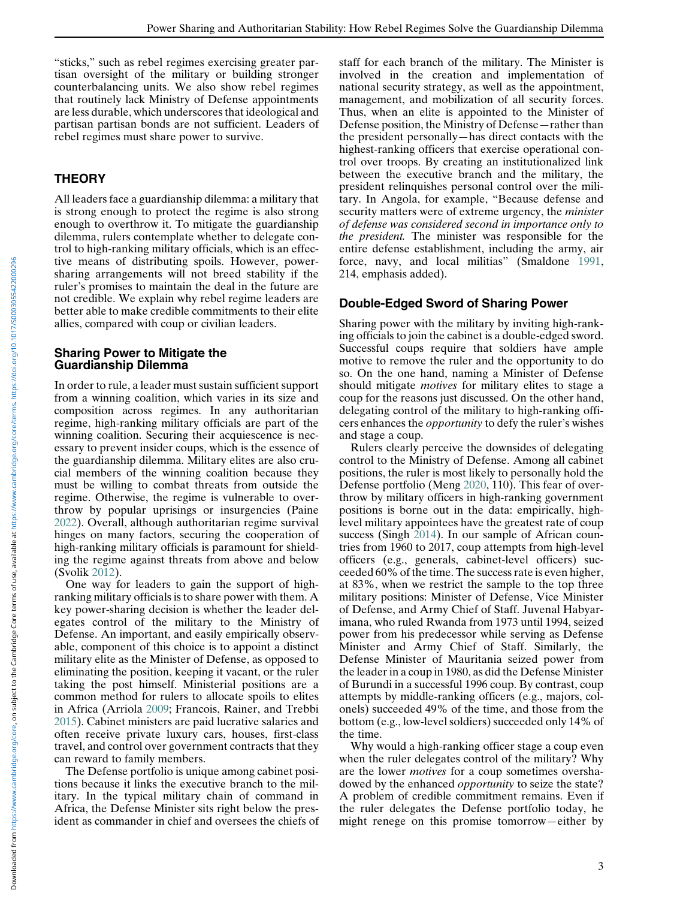"sticks," such as rebel regimes exercising greater partisan oversight of the military or building stronger counterbalancing units. We also show rebel regimes that routinely lack Ministry of Defense appointments are less durable, which underscores that ideological and partisan partisan bonds are not sufficient. Leaders of rebel regimes must share power to survive.

# **THEORY**

All leaders face a guardianship dilemma: a military that is strong enough to protect the regime is also strong enough to overthrow it. To mitigate the guardianship dilemma, rulers contemplate whether to delegate control to high-ranking military officials, which is an effective means of distributing spoils. However, powersharing arrangements will not breed stability if the ruler's promises to maintain the deal in the future are not credible. We explain why rebel regime leaders are better able to make credible commitments to their elite allies, compared with coup or civilian leaders.

## Sharing Power to Mitigate the Guardianship Dilemma

In order to rule, a leader must sustain sufficient support from a winning coalition, which varies in its size and composition across regimes. In any authoritarian regime, high-ranking military officials are part of the winning coalition. Securing their acquiescence is necessary to prevent insider coups, which is the essence of the guardianship dilemma. Military elites are also crucial members of the winning coalition because they must be willing to combat threats from outside the regime. Otherwise, the regime is vulnerable to overthrow by popular uprisings or insurgencies (Paine [2022\)](#page-17-0). Overall, although authoritarian regime survival hinges on many factors, securing the cooperation of high-ranking military officials is paramount for shielding the regime against threats from above and below (Svolik [2012](#page-17-1)).

One way for leaders to gain the support of highranking military officials is to share power with them. A key power-sharing decision is whether the leader delegates control of the military to the Ministry of Defense. An important, and easily empirically observable, component of this choice is to appoint a distinct military elite as the Minister of Defense, as opposed to eliminating the position, keeping it vacant, or the ruler taking the post himself. Ministerial positions are a common method for rulers to allocate spoils to elites in Africa (Arriola [2009;](#page-16-4) Francois, Rainer, and Trebbi [2015\)](#page-16-8). Cabinet ministers are paid lucrative salaries and often receive private luxury cars, houses, first-class travel, and control over government contracts that they can reward to family members.

The Defense portfolio is unique among cabinet positions because it links the executive branch to the military. In the typical military chain of command in Africa, the Defense Minister sits right below the president as commander in chief and oversees the chiefs of staff for each branch of the military. The Minister is involved in the creation and implementation of national security strategy, as well as the appointment, management, and mobilization of all security forces. Thus, when an elite is appointed to the Minister of Defense position, the Ministry of Defense—rather than the president personally—has direct contacts with the highest-ranking officers that exercise operational control over troops. By creating an institutionalized link between the executive branch and the military, the president relinquishes personal control over the military. In Angola, for example, "Because defense and security matters were of extreme urgency, the *minister* of defense was considered second in importance only to the president. The minister was responsible for the entire defense establishment, including the army, air force, navy, and local militias" (Smaldone [1991,](#page-17-12) 214, emphasis added).

# Double-Edged Sword of Sharing Power

Sharing power with the military by inviting high-ranking officials to join the cabinet is a double-edged sword. Successful coups require that soldiers have ample motive to remove the ruler and the opportunity to do so. On the one hand, naming a Minister of Defense should mitigate *motives* for military elites to stage a coup for the reasons just discussed. On the other hand, delegating control of the military to high-ranking officers enhances the opportunity to defy the ruler's wishes and stage a coup.

Rulers clearly perceive the downsides of delegating control to the Ministry of Defense. Among all cabinet positions, the ruler is most likely to personally hold the Defense portfolio (Meng [2020](#page-17-4), 110). This fear of overthrow by military officers in high-ranking government positions is borne out in the data: empirically, highlevel military appointees have the greatest rate of coup success (Singh [2014\)](#page-17-13). In our sample of African countries from 1960 to 2017, coup attempts from high-level officers (e.g., generals, cabinet-level officers) succeeded 60% of the time. The success rate is even higher, at 83%, when we restrict the sample to the top three military positions: Minister of Defense, Vice Minister of Defense, and Army Chief of Staff. Juvenal Habyarimana, who ruled Rwanda from 1973 until 1994, seized power from his predecessor while serving as Defense Minister and Army Chief of Staff. Similarly, the Defense Minister of Mauritania seized power from the leader in a coup in 1980, as did the Defense Minister of Burundi in a successful 1996 coup. By contrast, coup attempts by middle-ranking officers (e.g., majors, colonels) succeeded 49% of the time, and those from the bottom (e.g., low-level soldiers) succeeded only 14% of the time.

Why would a high-ranking officer stage a coup even when the ruler delegates control of the military? Why are the lower motives for a coup sometimes overshadowed by the enhanced opportunity to seize the state? A problem of credible commitment remains. Even if the ruler delegates the Defense portfolio today, he might renege on this promise tomorrow—either by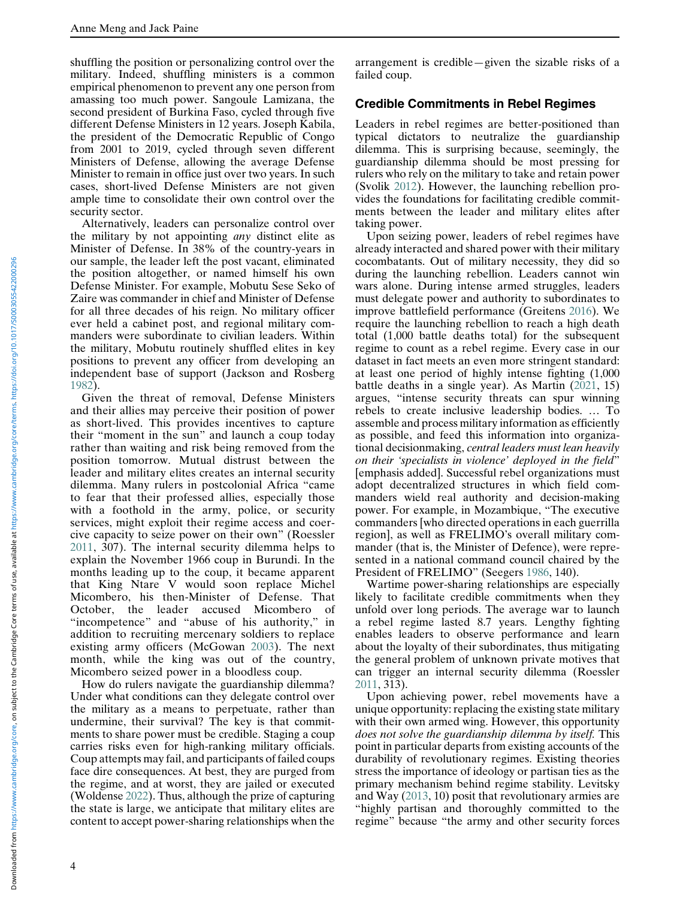shuffling the position or personalizing control over the military. Indeed, shuffling ministers is a common empirical phenomenon to prevent any one person from amassing too much power. Sangoule Lamizana, the second president of Burkina Faso, cycled through five different Defense Ministers in 12 years. Joseph Kabila, the president of the Democratic Republic of Congo from 2001 to 2019, cycled through seven different Ministers of Defense, allowing the average Defense Minister to remain in office just over two years. In such cases, short-lived Defense Ministers are not given ample time to consolidate their own control over the security sector.

Alternatively, leaders can personalize control over the military by not appointing any distinct elite as Minister of Defense. In 38% of the country-years in our sample, the leader left the post vacant, eliminated the position altogether, or named himself his own Defense Minister. For example, Mobutu Sese Seko of Zaire was commander in chief and Minister of Defense for all three decades of his reign. No military officer ever held a cabinet post, and regional military commanders were subordinate to civilian leaders. Within the military, Mobutu routinely shuffled elites in key positions to prevent any officer from developing an independent base of support (Jackson and Rosberg [1982\)](#page-17-14).

Given the threat of removal, Defense Ministers and their allies may perceive their position of power as short-lived. This provides incentives to capture their "moment in the sun" and launch a coup today rather than waiting and risk being removed from the position tomorrow. Mutual distrust between the leader and military elites creates an internal security dilemma. Many rulers in postcolonial Africa "came to fear that their professed allies, especially those with a foothold in the army, police, or security services, might exploit their regime access and coercive capacity to seize power on their own" (Roessler [2011](#page-17-6), 307). The internal security dilemma helps to explain the November 1966 coup in Burundi. In the months leading up to the coup, it became apparent that King Ntare V would soon replace Michel Micombero, his then-Minister of Defense. That October, the leader accused Micombero of "incompetence" and "abuse of his authority," in addition to recruiting mercenary soldiers to replace existing army officers (McGowan [2003\)](#page-17-15). The next month, while the king was out of the country, Micombero seized power in a bloodless coup.

How do rulers navigate the guardianship dilemma? Under what conditions can they delegate control over the military as a means to perpetuate, rather than undermine, their survival? The key is that commitments to share power must be credible. Staging a coup carries risks even for high-ranking military officials. Coup attempts may fail, and participants of failed coups face dire consequences. At best, they are purged from the regime, and at worst, they are jailed or executed (Woldense [2022\)](#page-17-16). Thus, although the prize of capturing the state is large, we anticipate that military elites are content to accept power-sharing relationships when the

arrangement is credible—given the sizable risks of a failed coup.

#### Credible Commitments in Rebel Regimes

Leaders in rebel regimes are better-positioned than typical dictators to neutralize the guardianship dilemma. This is surprising because, seemingly, the guardianship dilemma should be most pressing for rulers who rely on the military to take and retain power (Svolik [2012](#page-17-1)). However, the launching rebellion provides the foundations for facilitating credible commitments between the leader and military elites after taking power.

Upon seizing power, leaders of rebel regimes have already interacted and shared power with their military cocombatants. Out of military necessity, they did so during the launching rebellion. Leaders cannot win wars alone. During intense armed struggles, leaders must delegate power and authority to subordinates to improve battlefield performance (Greitens [2016\)](#page-16-0). We require the launching rebellion to reach a high death total (1,000 battle deaths total) for the subsequent regime to count as a rebel regime. Every case in our dataset in fact meets an even more stringent standard: at least one period of highly intense fighting (1,000 battle deaths in a single year). As Martin ([2021,](#page-17-17) 15) argues, "intense security threats can spur winning rebels to create inclusive leadership bodies. … To assemble and process military information as efficiently as possible, and feed this information into organizational decisionmaking, central leaders must lean heavily on their 'specialists in violence' deployed in the field" [emphasis added]. Successful rebel organizations must adopt decentralized structures in which field commanders wield real authority and decision-making power. For example, in Mozambique, "The executive commanders [who directed operations in each guerrilla region], as well as FRELIMO's overall military commander (that is, the Minister of Defence), were represented in a national command council chaired by the President of FRELIMO" (Seegers [1986,](#page-17-18) 140).

Wartime power-sharing relationships are especially likely to facilitate credible commitments when they unfold over long periods. The average war to launch a rebel regime lasted 8.7 years. Lengthy fighting enables leaders to observe performance and learn about the loyalty of their subordinates, thus mitigating the general problem of unknown private motives that can trigger an internal security dilemma (Roessler [2011,](#page-17-6) 313).

Upon achieving power, rebel movements have a unique opportunity: replacing the existing state military with their own armed wing. However, this opportunity does not solve the guardianship dilemma by itself. This point in particular departs from existing accounts of the durability of revolutionary regimes. Existing theories stress the importance of ideology or partisan ties as the primary mechanism behind regime stability. Levitsky and Way ([2013](#page-17-8), 10) posit that revolutionary armies are "highly partisan and thoroughly committed to the regime" because "the army and other security forces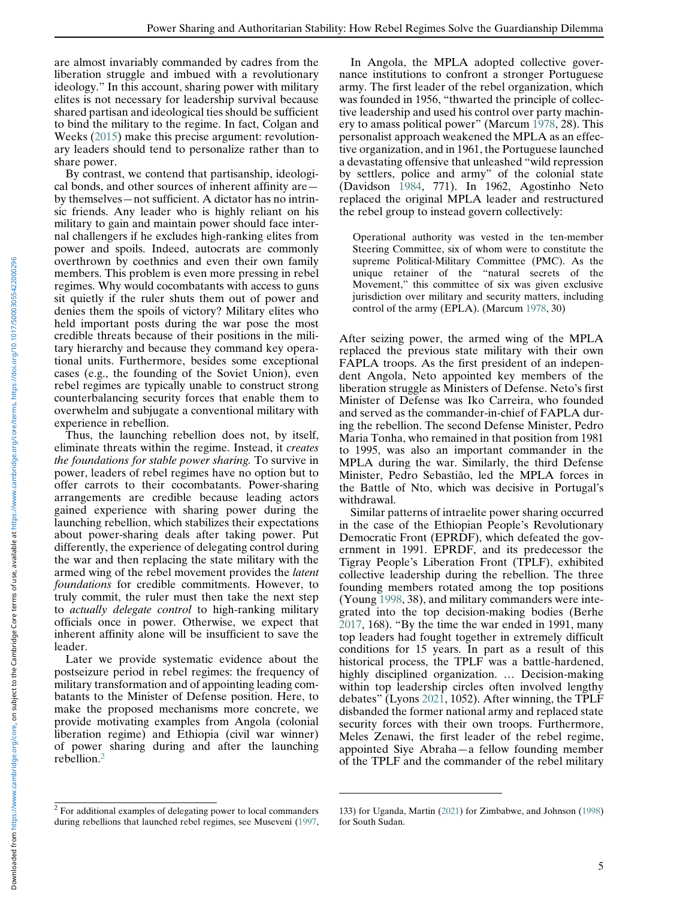are almost invariably commanded by cadres from the liberation struggle and imbued with a revolutionary ideology." In this account, sharing power with military elites is not necessary for leadership survival because shared partisan and ideological ties should be sufficient to bind the military to the regime. In fact, Colgan and Weeks ([2015](#page-16-9)) make this precise argument: revolutionary leaders should tend to personalize rather than to share power.

By contrast, we contend that partisanship, ideological bonds, and other sources of inherent affinity are by themselves—not sufficient. A dictator has no intrinsic friends. Any leader who is highly reliant on his military to gain and maintain power should face internal challengers if he excludes high-ranking elites from power and spoils. Indeed, autocrats are commonly overthrown by coethnics and even their own family members. This problem is even more pressing in rebel regimes. Why would cocombatants with access to guns sit quietly if the ruler shuts them out of power and denies them the spoils of victory? Military elites who held important posts during the war pose the most credible threats because of their positions in the military hierarchy and because they command key operational units. Furthermore, besides some exceptional cases (e.g., the founding of the Soviet Union), even rebel regimes are typically unable to construct strong counterbalancing security forces that enable them to overwhelm and subjugate a conventional military with experience in rebellion.

Thus, the launching rebellion does not, by itself, eliminate threats within the regime. Instead, it creates the foundations for stable power sharing. To survive in power, leaders of rebel regimes have no option but to offer carrots to their cocombatants. Power-sharing arrangements are credible because leading actors gained experience with sharing power during the launching rebellion, which stabilizes their expectations about power-sharing deals after taking power. Put differently, the experience of delegating control during the war and then replacing the state military with the armed wing of the rebel movement provides the latent foundations for credible commitments. However, to truly commit, the ruler must then take the next step to actually delegate control to high-ranking military officials once in power. Otherwise, we expect that inherent affinity alone will be insufficient to save the leader.

Later we provide systematic evidence about the postseizure period in rebel regimes: the frequency of military transformation and of appointing leading combatants to the Minister of Defense position. Here, to make the proposed mechanisms more concrete, we provide motivating examples from Angola (colonial liberation regime) and Ethiopia (civil war winner) of power sharing during and after the launching rebellion.[2](#page-4-0)

In Angola, the MPLA adopted collective governance institutions to confront a stronger Portuguese army. The first leader of the rebel organization, which was founded in 1956, "thwarted the principle of collective leadership and used his control over party machinery to amass political power" (Marcum [1978](#page-17-19), 28). This personalist approach weakened the MPLA as an effective organization, and in 1961, the Portuguese launched a devastating offensive that unleashed "wild repression by settlers, police and army" of the colonial state (Davidson [1984,](#page-16-10) 771). In 1962, Agostinho Neto replaced the original MPLA leader and restructured the rebel group to instead govern collectively:

Operational authority was vested in the ten-member Steering Committee, six of whom were to constitute the supreme Political-Military Committee (PMC). As the unique retainer of the "natural secrets of the Movement," this committee of six was given exclusive jurisdiction over military and security matters, including control of the army (EPLA). (Marcum [1978](#page-17-19), 30)

After seizing power, the armed wing of the MPLA replaced the previous state military with their own FAPLA troops. As the first president of an independent Angola, Neto appointed key members of the liberation struggle as Ministers of Defense. Neto's first Minister of Defense was Iko Carreira, who founded and served as the commander-in-chief of FAPLA during the rebellion. The second Defense Minister, Pedro Maria Tonha, who remained in that position from 1981 to 1995, was also an important commander in the MPLA during the war. Similarly, the third Defense Minister, Pedro Sebastião, led the MPLA forces in the Battle of Nto, which was decisive in Portugal's withdrawal.

Similar patterns of intraelite power sharing occurred in the case of the Ethiopian People's Revolutionary Democratic Front (EPRDF), which defeated the government in 1991. EPRDF, and its predecessor the Tigray People's Liberation Front (TPLF), exhibited collective leadership during the rebellion. The three founding members rotated among the top positions (Young [1998](#page-17-20), 38), and military commanders were integrated into the top decision-making bodies (Berhe [2017,](#page-17-18) 168). "By the time the war ended in 1991, many top leaders had fought together in extremely difficult conditions for 15 years. In part as a result of this historical process, the TPLF was a battle-hardened, highly disciplined organization. … Decision-making within top leadership circles often involved lengthy debates" (Lyons [2021,](#page-17-21) 1052). After winning, the TPLF disbanded the former national army and replaced state security forces with their own troops. Furthermore, Meles Zenawi, the first leader of the rebel regime, appointed Siye Abraha—a fellow founding member of the TPLF and the commander of the rebel military

<span id="page-4-0"></span><sup>2</sup> For additional examples of delegating power to local commanders during rebellions that launched rebel regimes, see Museveni ([1997,](#page-17-22)

<sup>133)</sup> for Uganda, Martin [\(2021](#page-17-17)) for Zimbabwe, and Johnson ([1998\)](#page-17-6) for South Sudan.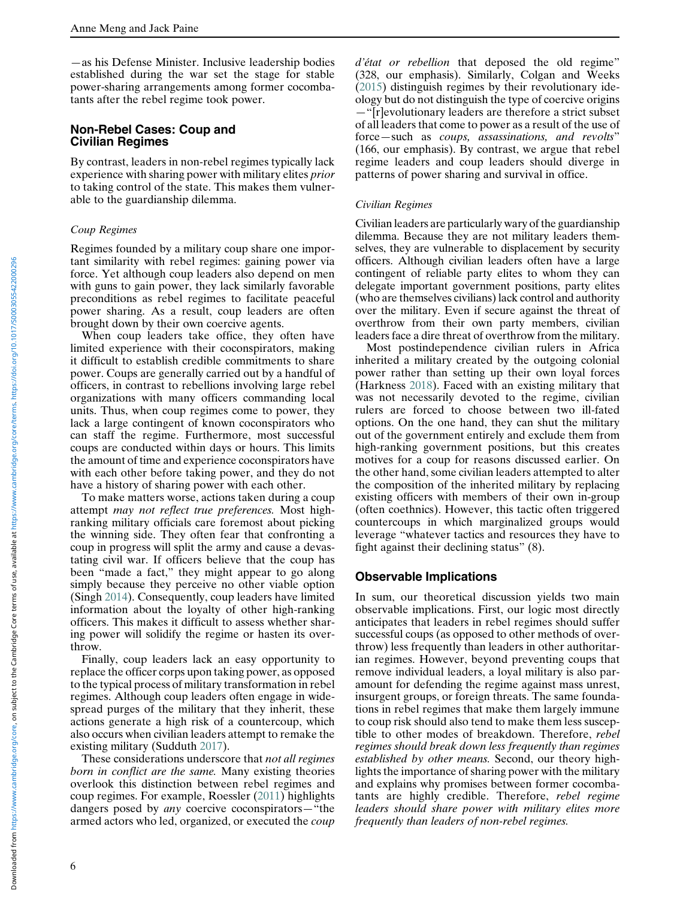—as his Defense Minister. Inclusive leadership bodies established during the war set the stage for stable power-sharing arrangements among former cocombatants after the rebel regime took power.

### Non-Rebel Cases: Coup and Civilian Regimes

By contrast, leaders in non-rebel regimes typically lack experience with sharing power with military elites prior to taking control of the state. This makes them vulnerable to the guardianship dilemma.

#### Coup Regimes

Regimes founded by a military coup share one important similarity with rebel regimes: gaining power via force. Yet although coup leaders also depend on men with guns to gain power, they lack similarly favorable preconditions as rebel regimes to facilitate peaceful power sharing. As a result, coup leaders are often brought down by their own coercive agents.

When coup leaders take office, they often have limited experience with their coconspirators, making it difficult to establish credible commitments to share power. Coups are generally carried out by a handful of officers, in contrast to rebellions involving large rebel organizations with many officers commanding local units. Thus, when coup regimes come to power, they lack a large contingent of known coconspirators who can staff the regime. Furthermore, most successful coups are conducted within days or hours. This limits the amount of time and experience coconspirators have with each other before taking power, and they do not have a history of sharing power with each other.

To make matters worse, actions taken during a coup attempt may not reflect true preferences. Most highranking military officials care foremost about picking the winning side. They often fear that confronting a coup in progress will split the army and cause a devastating civil war. If officers believe that the coup has been "made a fact," they might appear to go along simply because they perceive no other viable option (Singh [2014](#page-17-13)). Consequently, coup leaders have limited information about the loyalty of other high-ranking officers. This makes it difficult to assess whether sharing power will solidify the regime or hasten its overthrow.

Finally, coup leaders lack an easy opportunity to replace the officer corps upon taking power, as opposed to the typical process of military transformation in rebel regimes. Although coup leaders often engage in widespread purges of the military that they inherit, these actions generate a high risk of a countercoup, which also occurs when civilian leaders attempt to remake the existing military (Sudduth [2017](#page-17-17)).

These considerations underscore that *not all regimes* born in conflict are the same. Many existing theories overlook this distinction between rebel regimes and coup regimes. For example, Roessler [\(2011](#page-17-6)) highlights dangers posed by any coercive coconspirators—"the armed actors who led, organized, or executed the coup

d'état or rebellion that deposed the old regime" (328, our emphasis). Similarly, Colgan and Weeks ([2015\)](#page-16-9) distinguish regimes by their revolutionary ideology but do not distinguish the type of coercive origins —"[r]evolutionary leaders are therefore a strict subset of all leaders that come to power as a result of the use of force—such as coups, assassinations, and revolts" (166, our emphasis). By contrast, we argue that rebel regime leaders and coup leaders should diverge in patterns of power sharing and survival in office.

#### Civilian Regimes

Civilian leaders are particularly wary of the guardianship dilemma. Because they are not military leaders themselves, they are vulnerable to displacement by security officers. Although civilian leaders often have a large contingent of reliable party elites to whom they can delegate important government positions, party elites (who are themselves civilians) lack control and authority over the military. Even if secure against the threat of overthrow from their own party members, civilian leaders face a dire threat of overthrow from the military.

Most postindependence civilian rulers in Africa inherited a military created by the outgoing colonial power rather than setting up their own loyal forces (Harkness [2018\)](#page-16-1). Faced with an existing military that was not necessarily devoted to the regime, civilian rulers are forced to choose between two ill-fated options. On the one hand, they can shut the military out of the government entirely and exclude them from high-ranking government positions, but this creates motives for a coup for reasons discussed earlier. On the other hand, some civilian leaders attempted to alter the composition of the inherited military by replacing existing officers with members of their own in-group (often coethnics). However, this tactic often triggered countercoups in which marginalized groups would leverage "whatever tactics and resources they have to fight against their declining status" (8).

#### Observable Implications

In sum, our theoretical discussion yields two main observable implications. First, our logic most directly anticipates that leaders in rebel regimes should suffer successful coups (as opposed to other methods of overthrow) less frequently than leaders in other authoritarian regimes. However, beyond preventing coups that remove individual leaders, a loyal military is also paramount for defending the regime against mass unrest, insurgent groups, or foreign threats. The same foundations in rebel regimes that make them largely immune to coup risk should also tend to make them less susceptible to other modes of breakdown. Therefore, rebel regimes should break down less frequently than regimes established by other means. Second, our theory highlights the importance of sharing power with the military and explains why promises between former cocombatants are highly credible. Therefore, rebel regime leaders should share power with military elites more frequently than leaders of non-rebel regimes.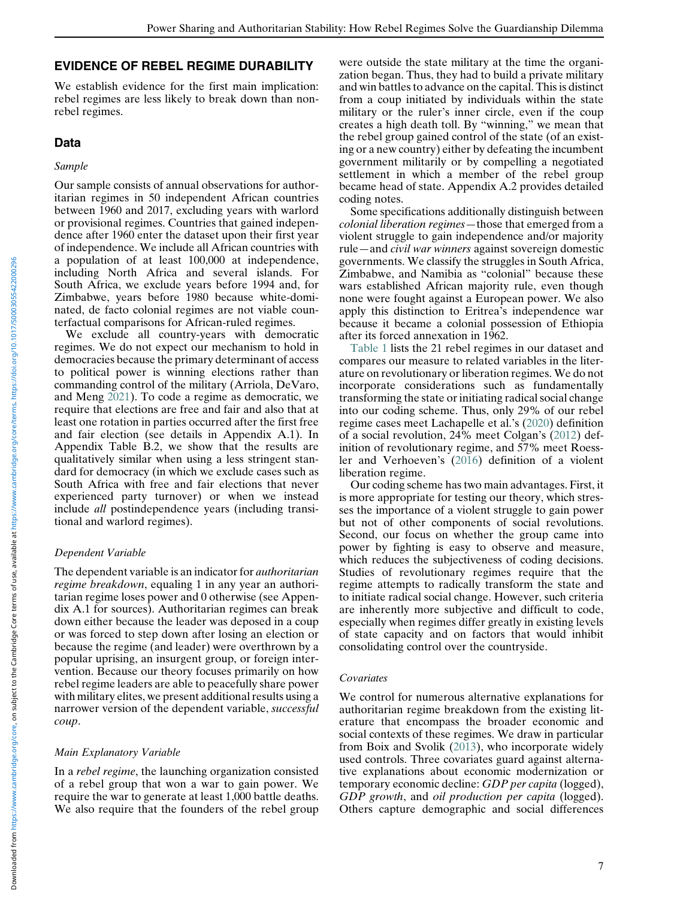## EVIDENCE OF REBEL REGIME DURABILITY

We establish evidence for the first main implication: rebel regimes are less likely to break down than nonrebel regimes.

# Data

### Sample

Our sample consists of annual observations for authoritarian regimes in 50 independent African countries between 1960 and 2017, excluding years with warlord or provisional regimes. Countries that gained independence after 1960 enter the dataset upon their first year of independence. We include all African countries with a population of at least 100,000 at independence, including North Africa and several islands. For South Africa, we exclude years before 1994 and, for Zimbabwe, years before 1980 because white-dominated, de facto colonial regimes are not viable counterfactual comparisons for African-ruled regimes.

We exclude all country-years with democratic regimes. We do not expect our mechanism to hold in democracies because the primary determinant of access to political power is winning elections rather than commanding control of the military (Arriola, DeVaro, and Meng [2021\)](#page-16-11). To code a regime as democratic, we require that elections are free and fair and also that at least one rotation in parties occurred after the first free and fair election (see details in Appendix A.1). In Appendix Table B.2, we show that the results are qualitatively similar when using a less stringent standard for democracy (in which we exclude cases such as South Africa with free and fair elections that never experienced party turnover) or when we instead include all postindependence years (including transitional and warlord regimes).

## Dependent Variable

The dependent variable is an indicator for *authoritarian* regime breakdown, equaling 1 in any year an authoritarian regime loses power and 0 otherwise (see Appendix A.1 for sources). Authoritarian regimes can break down either because the leader was deposed in a coup or was forced to step down after losing an election or because the regime (and leader) were overthrown by a popular uprising, an insurgent group, or foreign intervention. Because our theory focuses primarily on how rebel regime leaders are able to peacefully share power with military elites, we present additional results using a narrower version of the dependent variable, successful coup.

## Main Explanatory Variable

In a rebel regime, the launching organization consisted of a rebel group that won a war to gain power. We require the war to generate at least 1,000 battle deaths. We also require that the founders of the rebel group were outside the state military at the time the organization began. Thus, they had to build a private military and win battles to advance on the capital. This is distinct from a coup initiated by individuals within the state military or the ruler's inner circle, even if the coup creates a high death toll. By "winning," we mean that the rebel group gained control of the state (of an existing or a new country) either by defeating the incumbent government militarily or by compelling a negotiated settlement in which a member of the rebel group became head of state. Appendix A.2 provides detailed coding notes.

Some specifications additionally distinguish between colonial liberation regimes—those that emerged from a violent struggle to gain independence and/or majority rule—and civil war winners against sovereign domestic governments. We classify the struggles in South Africa, Zimbabwe, and Namibia as "colonial" because these wars established African majority rule, even though none were fought against a European power. We also apply this distinction to Eritrea's independence war because it became a colonial possession of Ethiopia after its forced annexation in 1962.

[Table 1](#page-7-0) lists the 21 rebel regimes in our dataset and compares our measure to related variables in the literature on revolutionary or liberation regimes. We do not incorporate considerations such as fundamentally transforming the state or initiating radical social change into our coding scheme. Thus, only 29% of our rebel regime cases meet Lachapelle et al.'s [\(2020\)](#page-17-7) definition of a social revolution, 24% meet Colgan's [\(2012](#page-16-12)) definition of revolutionary regime, and 57% meet Roessler and Verhoeven's [\(2016](#page-17-23)) definition of a violent liberation regime.

Our coding scheme has two main advantages. First, it is more appropriate for testing our theory, which stresses the importance of a violent struggle to gain power but not of other components of social revolutions. Second, our focus on whether the group came into power by fighting is easy to observe and measure, which reduces the subjectiveness of coding decisions. Studies of revolutionary regimes require that the regime attempts to radically transform the state and to initiate radical social change. However, such criteria are inherently more subjective and difficult to code, especially when regimes differ greatly in existing levels of state capacity and on factors that would inhibit consolidating control over the countryside.

#### Covariates

We control for numerous alternative explanations for authoritarian regime breakdown from the existing literature that encompass the broader economic and social contexts of these regimes. We draw in particular from Boix and Svolik ([2013\)](#page-16-13), who incorporate widely used controls. Three covariates guard against alternative explanations about economic modernization or temporary economic decline: GDP per capita (logged), GDP growth, and oil production per capita (logged). Others capture demographic and social differences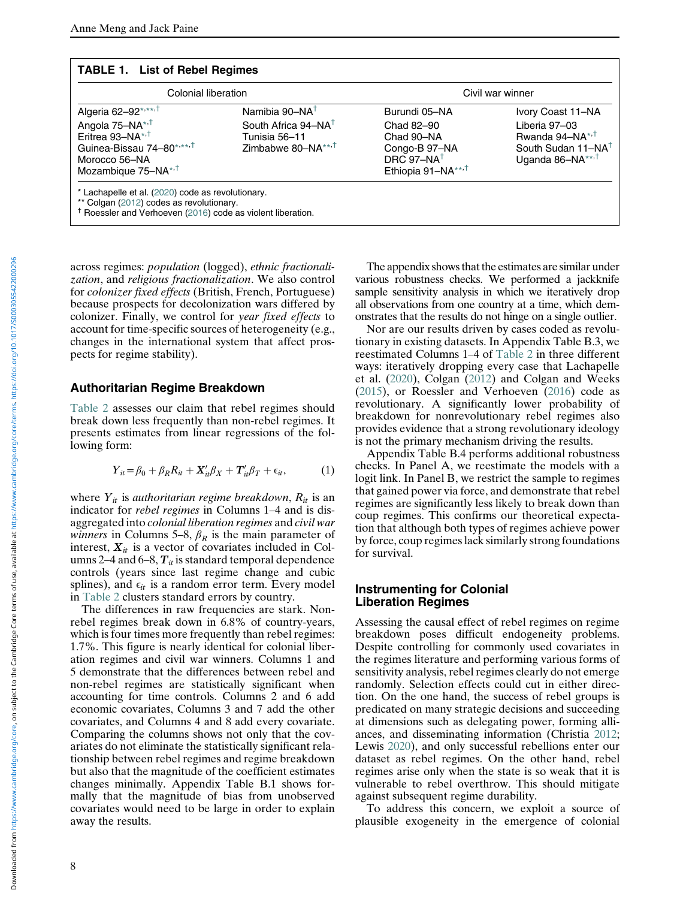#### <span id="page-7-0"></span>TABLE 1. List of Rebel Regimes

| Colonial liberation                                                                                                                                                                          |                                                                                                                  | Civil war winner                                                                                                       |                                                                                                                            |  |  |
|----------------------------------------------------------------------------------------------------------------------------------------------------------------------------------------------|------------------------------------------------------------------------------------------------------------------|------------------------------------------------------------------------------------------------------------------------|----------------------------------------------------------------------------------------------------------------------------|--|--|
| Algeria 62-92*,**, <sup>†</sup><br>Angola 75-NA* <sup>++</sup><br>Eritrea 93-NA*, <sup>†</sup><br>Guinea-Bissau 74-80*,***, <sup>†</sup><br>Morocco 56-NA<br>Mozambique 75-NA* <sup>,†</sup> | Namibia 90-NA <sup>T</sup><br>South Africa 94-NA <sup>T</sup><br>Tunisia 56–11<br>Zimbabwe 80-NA*** <sup>1</sup> | Burundi 05-NA<br>Chad 82-90<br>Chad 90-NA<br>Congo-B 97-NA<br>DRC 97-NA <sup>+</sup><br>Ethiopia 91-NA** <sup>,†</sup> | Ivory Coast 11–NA<br>Liberia 97-03<br>Rwanda 94–NA*, $T$<br>South Sudan 11-NA <sup>T</sup><br>Uganda 86-NA**, <sup>†</sup> |  |  |
| * Lachapelle et al. (2020) code as revolutionary.<br>** Colgan (2012) codes as revolutionary.<br><sup>†</sup> Roessler and Verhoeven (2016) code as violent liberation.                      |                                                                                                                  |                                                                                                                        |                                                                                                                            |  |  |

<span id="page-7-3"></span><span id="page-7-2"></span><span id="page-7-1"></span>across regimes: population (logged), ethnic fractionalization, and religious fractionalization. We also control for colonizer fixed effects (British, French, Portuguese) because prospects for decolonization wars differed by colonizer. Finally, we control for year fixed effects to account for time-specific sources of heterogeneity (e.g., changes in the international system that affect prospects for regime stability).

#### Authoritarian Regime Breakdown

<span id="page-7-4"></span>[Table 2](#page-8-0) assesses our claim that rebel regimes should break down less frequently than non-rebel regimes. It presents estimates from linear regressions of the following form:

$$
Y_{it} = \beta_0 + \beta_R R_{it} + \mathbf{X}_{it}' \beta_X + \mathbf{T}_{it}' \beta_T + \epsilon_{it}, \tag{1}
$$

where  $Y_{it}$  is *authoritarian regime breakdown*,  $R_{it}$  is an indicator for rebel regimes in Columns 1–4 and is disaggregated into colonial liberation regimes and civil war *winners* in Columns 5–8,  $\beta_R$  is the main parameter of interest,  $X_{it}$  is a vector of covariates included in Columns 2–4 and 6–8,  $T_{it}$  is standard temporal dependence controls (years since last regime change and cubic splines), and  $\epsilon_{it}$  is a random error term. Every model in [Table 2](#page-8-0) clusters standard errors by country.

The differences in raw frequencies are stark. Nonrebel regimes break down in 6.8% of country-years, which is four times more frequently than rebel regimes: 1.7%. This figure is nearly identical for colonial liberation regimes and civil war winners. Columns 1 and 5 demonstrate that the differences between rebel and non-rebel regimes are statistically significant when accounting for time controls. Columns 2 and 6 add economic covariates, Columns 3 and 7 add the other covariates, and Columns 4 and 8 add every covariate. Comparing the columns shows not only that the covariates do not eliminate the statistically significant relationship between rebel regimes and regime breakdown but also that the magnitude of the coefficient estimates changes minimally. Appendix Table B.1 shows formally that the magnitude of bias from unobserved covariates would need to be large in order to explain away the results.

The appendix shows that the estimates are similar under various robustness checks. We performed a jackknife sample sensitivity analysis in which we iteratively drop all observations from one country at a time, which demonstrates that the results do not hinge on a single outlier.

Nor are our results driven by cases coded as revolutionary in existing datasets. In Appendix Table B.3, we reestimated Columns 1–4 of [Table 2](#page-8-0) in three different ways: iteratively dropping every case that Lachapelle et al. ([2020\)](#page-17-7), Colgan [\(2012](#page-16-12)) and Colgan and Weeks ([2015\)](#page-16-9), or Roessler and Verhoeven [\(2016\)](#page-17-23) code as revolutionary. A significantly lower probability of breakdown for nonrevolutionary rebel regimes also provides evidence that a strong revolutionary ideology is not the primary mechanism driving the results.

Appendix Table B.4 performs additional robustness checks. In Panel A, we reestimate the models with a logit link. In Panel B, we restrict the sample to regimes that gained power via force, and demonstrate that rebel regimes are significantly less likely to break down than coup regimes. This confirms our theoretical expectation that although both types of regimes achieve power by force, coup regimes lack similarly strong foundations for survival.

#### Instrumenting for Colonial Liberation Regimes

Assessing the causal effect of rebel regimes on regime breakdown poses difficult endogeneity problems. Despite controlling for commonly used covariates in the regimes literature and performing various forms of sensitivity analysis, rebel regimes clearly do not emerge randomly. Selection effects could cut in either direction. On the one hand, the success of rebel groups is predicated on many strategic decisions and succeeding at dimensions such as delegating power, forming alliances, and disseminating information (Christia [2012;](#page-16-14) Lewis [2020\)](#page-17-13), and only successful rebellions enter our dataset as rebel regimes. On the other hand, rebel regimes arise only when the state is so weak that it is vulnerable to rebel overthrow. This should mitigate against subsequent regime durability.

To address this concern, we exploit a source of plausible exogeneity in the emergence of colonial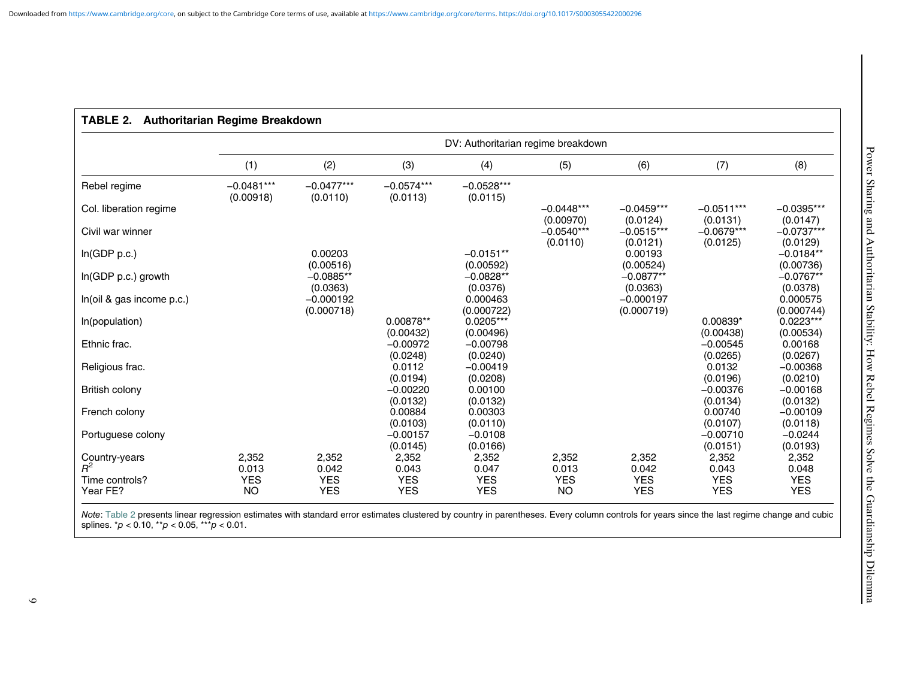<span id="page-8-0"></span>

|                                                                                                                                                                                                                                                 | DV: Authoritarian regime breakdown |                           |                          |                          |                           |                           |                          |                          |
|-------------------------------------------------------------------------------------------------------------------------------------------------------------------------------------------------------------------------------------------------|------------------------------------|---------------------------|--------------------------|--------------------------|---------------------------|---------------------------|--------------------------|--------------------------|
|                                                                                                                                                                                                                                                 | (1)                                | (2)                       | (3)                      | (4)                      | (5)                       | (6)                       | (7)                      | (8)                      |
| Rebel regime                                                                                                                                                                                                                                    | $-0.0481***$<br>(0.00918)          | $-0.0477***$<br>(0.0110)  | $-0.0574***$<br>(0.0113) | $-0.0528***$<br>(0.0115) |                           |                           |                          |                          |
| Col. liberation regime                                                                                                                                                                                                                          |                                    |                           |                          |                          | $-0.0448***$<br>(0.00970) | $-0.0459***$<br>(0.0124)  | $-0.0511***$<br>(0.0131) | $-0.0395***$<br>(0.0147) |
| Civil war winner                                                                                                                                                                                                                                |                                    |                           |                          |                          | $-0.0540***$<br>(0.0110)  | $-0.0515***$<br>(0.0121)  | $-0.0679***$<br>(0.0125) | $-0.0737***$<br>(0.0129) |
| ln(GDP p.c.)                                                                                                                                                                                                                                    |                                    | 0.00203<br>(0.00516)      |                          | $-0.0151**$<br>(0.00592) |                           | 0.00193<br>(0.00524)      |                          | $-0.0184**$<br>(0.00736) |
| In(GDP p.c.) growth                                                                                                                                                                                                                             |                                    | $-0.0885**$<br>(0.0363)   |                          | $-0.0828**$<br>(0.0376)  |                           | $-0.0877**$<br>(0.0363)   |                          | $-0.0767**$<br>(0.0378)  |
| In(oil & gas income p.c.)                                                                                                                                                                                                                       |                                    | $-0.000192$<br>(0.000718) |                          | 0.000463<br>(0.000722)   |                           | $-0.000197$<br>(0.000719) |                          | 0.000575<br>(0.000744)   |
| In(population)                                                                                                                                                                                                                                  |                                    |                           | 0.00878**<br>(0.00432)   | $0.0205***$<br>(0.00496) |                           |                           | 0.00839*<br>(0.00438)    | $0.0223***$<br>(0.00534) |
| Ethnic frac.                                                                                                                                                                                                                                    |                                    |                           | $-0.00972$<br>(0.0248)   | $-0.00798$<br>(0.0240)   |                           |                           | $-0.00545$<br>(0.0265)   | 0.00168<br>(0.0267)      |
| Religious frac.                                                                                                                                                                                                                                 |                                    |                           | 0.0112<br>(0.0194)       | $-0.00419$<br>(0.0208)   |                           |                           | 0.0132<br>(0.0196)       | $-0.00368$<br>(0.0210)   |
| British colony                                                                                                                                                                                                                                  |                                    |                           | $-0.00220$<br>(0.0132)   | 0.00100<br>(0.0132)      |                           |                           | $-0.00376$<br>(0.0134)   | $-0.00168$<br>(0.0132)   |
| French colony                                                                                                                                                                                                                                   |                                    |                           | 0.00884<br>(0.0103)      | 0.00303<br>(0.0110)      |                           |                           | 0.00740<br>(0.0107)      | $-0.00109$<br>(0.0118)   |
| Portuguese colony                                                                                                                                                                                                                               |                                    |                           | $-0.00157$<br>(0.0145)   | $-0.0108$<br>(0.0166)    |                           |                           | $-0.00710$<br>(0.0151)   | $-0.0244$<br>(0.0193)    |
| Country-years<br>$R^2$                                                                                                                                                                                                                          | 2,352<br>0.013                     | 2,352<br>0.042            | 2,352<br>0.043           | 2,352<br>0.047           | 2,352<br>0.013            | 2,352<br>0.042            | 2,352<br>0.043           | 2,352<br>0.048           |
| Time controls?                                                                                                                                                                                                                                  | <b>YES</b>                         | <b>YES</b>                | <b>YES</b>               | <b>YES</b>               | <b>YES</b>                | <b>YES</b>                | <b>YES</b>               | <b>YES</b>               |
| Year FE?                                                                                                                                                                                                                                        | <b>NO</b>                          | <b>YES</b>                | <b>YES</b>               | <b>YES</b>               | <b>NO</b>                 | <b>YES</b>                | <b>YES</b>               | <b>YES</b>               |
| Note: Table 2 presents linear regression estimates with standard error estimates clustered by country in parentheses. Every column controls for years since the last regime change and cubic<br>splines. $p < 0.10$ , $p > 0.05$ , $p > 0.01$ . |                                    |                           |                          |                          |                           |                           |                          |                          |

<span id="page-8-1"></span>TABLE 2. Authoritarian Regime Breakdown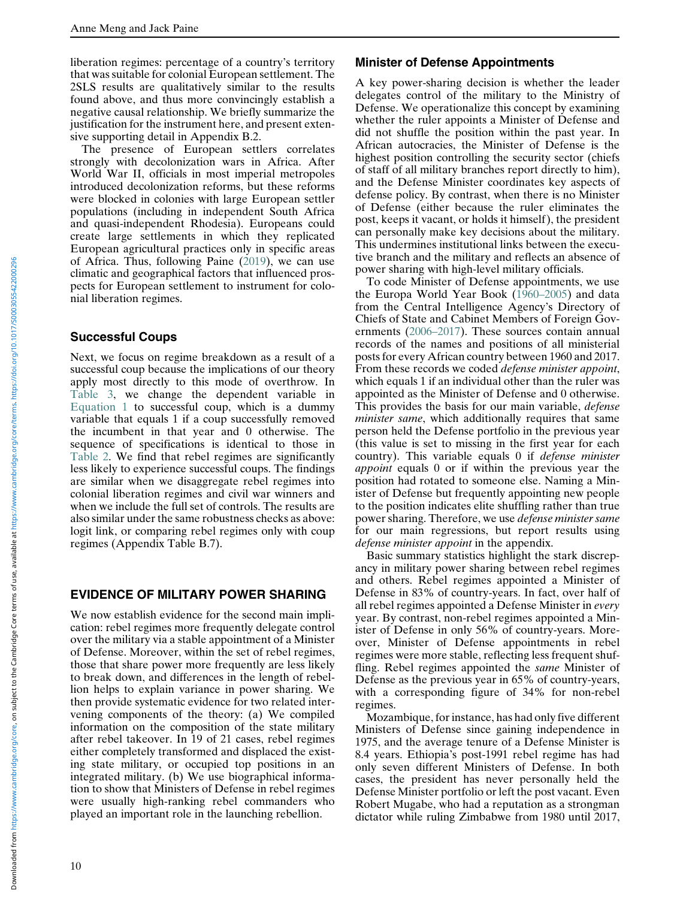liberation regimes: percentage of a country's territory that was suitable for colonial European settlement. The 2SLS results are qualitatively similar to the results found above, and thus more convincingly establish a negative causal relationship. We briefly summarize the justification for the instrument here, and present extensive supporting detail in Appendix B.2.

The presence of European settlers correlates strongly with decolonization wars in Africa. After World War II, officials in most imperial metropoles introduced decolonization reforms, but these reforms were blocked in colonies with large European settler populations (including in independent South Africa and quasi-independent Rhodesia). Europeans could create large settlements in which they replicated European agricultural practices only in specific areas of Africa. Thus, following Paine [\(2019](#page-17-24)), we can use climatic and geographical factors that influenced prospects for European settlement to instrument for colonial liberation regimes.

#### Successful Coups

Next, we focus on regime breakdown as a result of a successful coup because the implications of our theory apply most directly to this mode of overthrow. In [Table 3,](#page-10-0) we change the dependent variable in [Equation 1](#page-7-4) to successful coup, which is a dummy variable that equals 1 if a coup successfully removed the incumbent in that year and 0 otherwise. The sequence of specifications is identical to those in [Table 2.](#page-8-0) We find that rebel regimes are significantly less likely to experience successful coups. The findings are similar when we disaggregate rebel regimes into colonial liberation regimes and civil war winners and when we include the full set of controls. The results are also similar under the same robustness checks as above: logit link, or comparing rebel regimes only with coup regimes (Appendix Table B.7).

## EVIDENCE OF MILITARY POWER SHARING

We now establish evidence for the second main implication: rebel regimes more frequently delegate control over the military via a stable appointment of a Minister of Defense. Moreover, within the set of rebel regimes, those that share power more frequently are less likely to break down, and differences in the length of rebellion helps to explain variance in power sharing. We then provide systematic evidence for two related intervening components of the theory: (a) We compiled information on the composition of the state military after rebel takeover. In 19 of 21 cases, rebel regimes either completely transformed and displaced the existing state military, or occupied top positions in an integrated military. (b) We use biographical information to show that Ministers of Defense in rebel regimes were usually high-ranking rebel commanders who played an important role in the launching rebellion.

#### Minister of Defense Appointments

A key power-sharing decision is whether the leader delegates control of the military to the Ministry of Defense. We operationalize this concept by examining whether the ruler appoints a Minister of Defense and did not shuffle the position within the past year. In African autocracies, the Minister of Defense is the highest position controlling the security sector (chiefs of staff of all military branches report directly to him), and the Defense Minister coordinates key aspects of defense policy. By contrast, when there is no Minister of Defense (either because the ruler eliminates the post, keeps it vacant, or holds it himself), the president can personally make key decisions about the military. This undermines institutional links between the executive branch and the military and reflects an absence of power sharing with high-level military officials.

To code Minister of Defense appointments, we use the Europa World Year Book [\(1960](#page-16-15)–2005) and data from the Central Intelligence Agency's Directory of Chiefs of State and Cabinet Members of Foreign Governments (2006–[2017\)](#page-16-16). These sources contain annual records of the names and positions of all ministerial posts for every African country between 1960 and 2017. From these records we coded defense minister appoint, which equals 1 if an individual other than the ruler was appointed as the Minister of Defense and 0 otherwise. This provides the basis for our main variable, *defense* minister same, which additionally requires that same person held the Defense portfolio in the previous year (this value is set to missing in the first year for each country). This variable equals 0 if defense minister appoint equals 0 or if within the previous year the position had rotated to someone else. Naming a Minister of Defense but frequently appointing new people to the position indicates elite shuffling rather than true power sharing. Therefore, we use defense minister same for our main regressions, but report results using defense minister appoint in the appendix.

Basic summary statistics highlight the stark discrepancy in military power sharing between rebel regimes and others. Rebel regimes appointed a Minister of Defense in 83% of country-years. In fact, over half of all rebel regimes appointed a Defense Minister in every year. By contrast, non-rebel regimes appointed a Minister of Defense in only 56% of country-years. Moreover, Minister of Defense appointments in rebel regimes were more stable, reflecting less frequent shuffling. Rebel regimes appointed the same Minister of Defense as the previous year in 65% of country-years, with a corresponding figure of 34% for non-rebel regimes.

Mozambique, for instance, has had only five different Ministers of Defense since gaining independence in 1975, and the average tenure of a Defense Minister is 8.4 years. Ethiopia's post-1991 rebel regime has had only seven different Ministers of Defense. In both cases, the president has never personally held the Defense Minister portfolio or left the post vacant. Even Robert Mugabe, who had a reputation as a strongman dictator while ruling Zimbabwe from 1980 until 2017,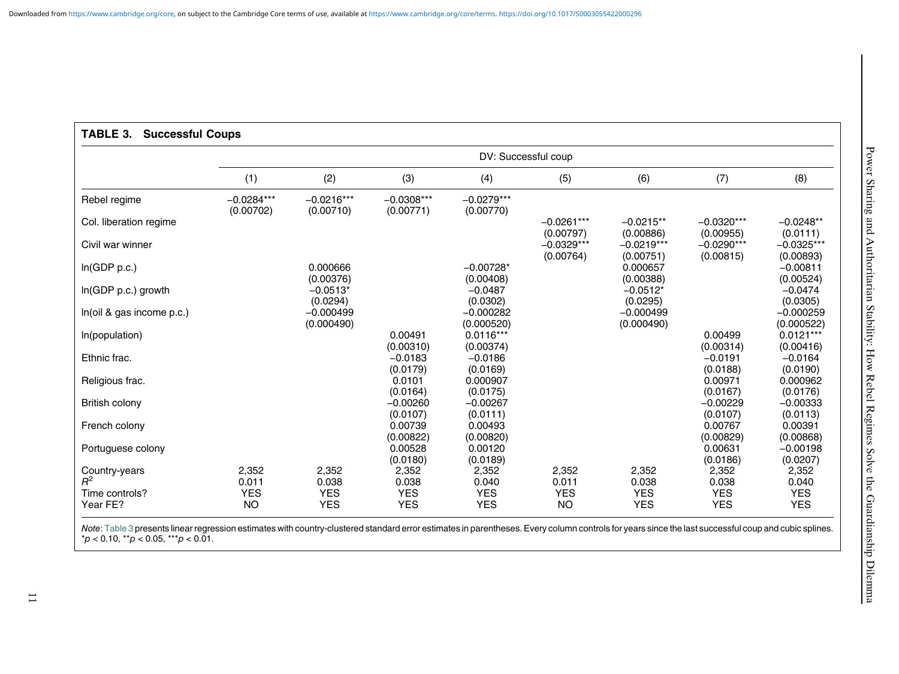# <span id="page-10-1"></span><span id="page-10-0"></span>TABLE 3. Successful Coups

|                                                      | DV: Successful coup                       |                                            |                                                        |                                                        |                                           |                                            |                                                        |                                                        |  |
|------------------------------------------------------|-------------------------------------------|--------------------------------------------|--------------------------------------------------------|--------------------------------------------------------|-------------------------------------------|--------------------------------------------|--------------------------------------------------------|--------------------------------------------------------|--|
|                                                      | (1)                                       | (2)                                        | (3)                                                    | (4)                                                    | (5)                                       | (6)                                        | (7)                                                    | (8)                                                    |  |
| Rebel regime                                         | $-0.0284***$<br>(0.00702)                 | $-0.0216***$<br>(0.00710)                  | $-0.0308***$<br>(0.00771)                              | $-0.0279***$<br>(0.00770)                              |                                           |                                            |                                                        |                                                        |  |
| Col. liberation regime                               |                                           |                                            |                                                        |                                                        | $-0.0261***$                              | $-0.0215**$                                | $-0.0320***$                                           | $-0.0248**$                                            |  |
| Civil war winner                                     |                                           |                                            |                                                        |                                                        | (0.00797)<br>$-0.0329***$<br>(0.00764)    | (0.00886)<br>$-0.0219***$<br>(0.00751)     | (0.00955)<br>$-0.0290***$<br>(0.00815)                 | (0.0111)<br>$-0.0325***$<br>(0.00893)                  |  |
| In(GDP p.c.)                                         |                                           | 0.000666<br>(0.00376)                      |                                                        | $-0.00728*$<br>(0.00408)                               |                                           | 0.000657<br>(0.00388)                      |                                                        | $-0.00811$                                             |  |
| In(GDP p.c.) growth                                  |                                           | $-0.0513*$                                 |                                                        | $-0.0487$                                              |                                           | $-0.0512*$                                 |                                                        | (0.00524)<br>$-0.0474$                                 |  |
| In(oil & gas income p.c.)                            |                                           | (0.0294)<br>$-0.000499$                    |                                                        | (0.0302)<br>$-0.000282$                                |                                           | (0.0295)<br>$-0.000499$                    |                                                        | (0.0305)<br>$-0.000259$                                |  |
| In(population)                                       |                                           | (0.000490)                                 | 0.00491                                                | (0.000520)<br>$0.0116***$                              |                                           | (0.000490)                                 | 0.00499                                                | (0.000522)<br>$0.0121***$                              |  |
| Ethnic frac.                                         |                                           |                                            | (0.00310)<br>$-0.0183$                                 | (0.00374)<br>$-0.0186$                                 |                                           |                                            | (0.00314)<br>$-0.0191$                                 | (0.00416)<br>$-0.0164$                                 |  |
| Religious frac.                                      |                                           |                                            | (0.0179)<br>0.0101                                     | (0.0169)<br>0.000907                                   |                                           |                                            | (0.0188)<br>0.00971                                    | (0.0190)<br>0.000962                                   |  |
| British colony                                       |                                           |                                            | (0.0164)<br>$-0.00260$                                 | (0.0175)<br>$-0.00267$                                 |                                           |                                            | (0.0167)<br>$-0.00229$                                 | (0.0176)<br>$-0.00333$                                 |  |
| French colony                                        |                                           |                                            | (0.0107)<br>0.00739<br>(0.00822)                       | (0.0111)<br>0.00493                                    |                                           |                                            | (0.0107)<br>0.00767                                    | (0.0113)<br>0.00391                                    |  |
| Portuguese colony                                    |                                           |                                            | 0.00528                                                | (0.00820)<br>0.00120                                   |                                           |                                            | (0.00829)<br>0.00631                                   | (0.00868)<br>$-0.00198$                                |  |
| Country-years<br>$R^2$<br>Time controls?<br>Year FE? | 2,352<br>0.011<br><b>YES</b><br><b>NO</b> | 2,352<br>0.038<br><b>YES</b><br><b>YES</b> | (0.0180)<br>2,352<br>0.038<br><b>YES</b><br><b>YES</b> | (0.0189)<br>2,352<br>0.040<br><b>YES</b><br><b>YES</b> | 2,352<br>0.011<br><b>YES</b><br><b>NO</b> | 2,352<br>0.038<br><b>YES</b><br><b>YES</b> | (0.0186)<br>2,352<br>0.038<br><b>YES</b><br><b>YES</b> | (0.0207)<br>2,352<br>0.040<br><b>YES</b><br><b>YES</b> |  |

Note: [Table](#page-10-1) 3 presents linear regression estimates with country-clustered standard error estimates in parentheses. Every column controls for years since the last successful coup and cubic splines.  $*p < 0.10$ ,  $**p < 0.05$ ,  $**p < 0.01$ .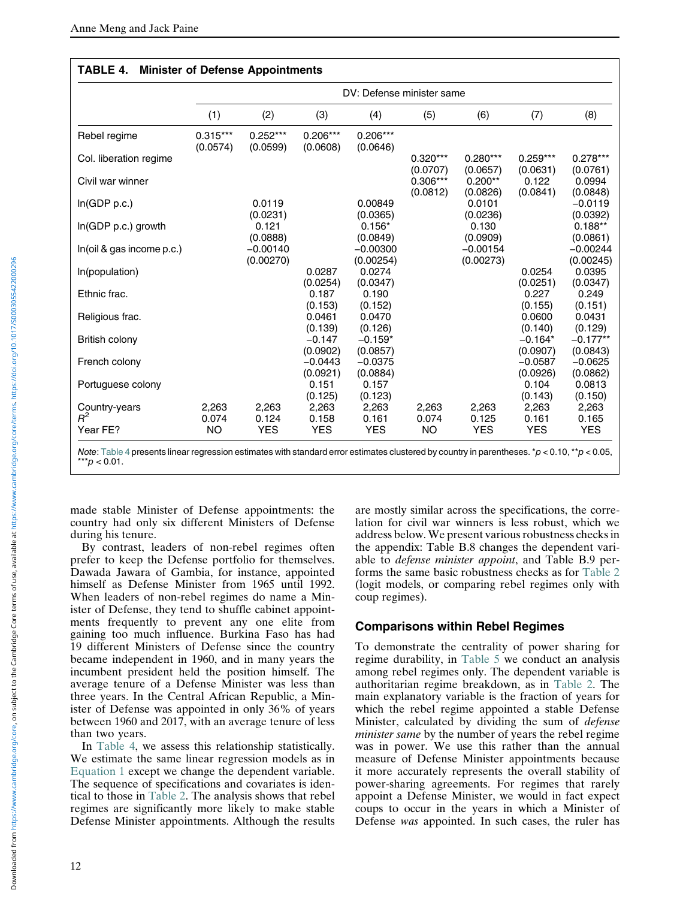<span id="page-11-0"></span>

|                                    | DV: Defense minister same   |                              |                                   |                                    |                             |                              |                                    |                                     |
|------------------------------------|-----------------------------|------------------------------|-----------------------------------|------------------------------------|-----------------------------|------------------------------|------------------------------------|-------------------------------------|
|                                    | (1)                         | (2)                          | (3)                               | (4)                                | (5)                         | (6)                          | (7)                                | (8)                                 |
| Rebel regime                       | $0.315***$<br>(0.0574)      | $0.252***$<br>(0.0599)       | $0.206***$<br>(0.0608)            | $0.206***$<br>(0.0646)             |                             |                              |                                    |                                     |
| Col. liberation regime             |                             |                              |                                   |                                    | $0.320***$<br>(0.0707)      | $0.280***$<br>(0.0657)       | $0.259***$<br>(0.0631)             | $0.278***$<br>(0.0761)              |
| Civil war winner                   |                             |                              |                                   |                                    | $0.306***$<br>(0.0812)      | $0.200**$<br>(0.0826)        | 0.122<br>(0.0841)                  | 0.0994<br>(0.0848)                  |
| In(GDP p.c.)                       |                             | 0.0119<br>(0.0231)           |                                   | 0.00849<br>(0.0365)                |                             | 0.0101<br>(0.0236)           |                                    | $-0.0119$<br>(0.0392)               |
| $In(GDP p.c.)$ growth              |                             | 0.121<br>(0.0888)            |                                   | $0.156*$<br>(0.0849)               |                             | 0.130<br>(0.0909)            |                                    | $0.188**$<br>(0.0861)               |
| In(oil & gas income p.c.)          |                             | $-0.00140$<br>(0.00270)      |                                   | $-0.00300$<br>(0.00254)            |                             | $-0.00154$<br>(0.00273)      |                                    | $-0.00244$<br>(0.00245)             |
| In(population)                     |                             |                              | 0.0287<br>(0.0254)                | 0.0274<br>(0.0347)                 |                             |                              | 0.0254<br>(0.0251)                 | 0.0395<br>(0.0347)                  |
| Ethnic frac.                       |                             |                              | 0.187<br>(0.153)                  | 0.190<br>(0.152)                   |                             |                              | 0.227<br>(0.155)                   | 0.249<br>(0.151)                    |
| Religious frac.                    |                             |                              | 0.0461<br>(0.139)                 | 0.0470<br>(0.126)                  |                             |                              | 0.0600<br>(0.140)                  | 0.0431<br>(0.129)                   |
| British colony                     |                             |                              | $-0.147$<br>(0.0902)<br>$-0.0443$ | $-0.159*$<br>(0.0857)<br>$-0.0375$ |                             |                              | $-0.164*$<br>(0.0907)<br>$-0.0587$ | $-0.177**$<br>(0.0843)<br>$-0.0625$ |
| French colony<br>Portuguese colony |                             |                              | (0.0921)<br>0.151                 | (0.0884)<br>0.157                  |                             |                              | (0.0926)<br>0.104                  | (0.0862)<br>0.0813                  |
|                                    |                             |                              | (0.125)                           | (0.123)                            |                             |                              | (0.143)                            | (0.150)                             |
| Country-years<br>$R^2$<br>Year FE? | 2,263<br>0.074<br><b>NO</b> | 2,263<br>0.124<br><b>YES</b> | 2,263<br>0.158<br><b>YES</b>      | 2,263<br>0.161<br><b>YES</b>       | 2,263<br>0.074<br><b>NO</b> | 2,263<br>0.125<br><b>YES</b> | 2,263<br>0.161<br><b>YES</b>       | 2,263<br>0.165<br><b>YES</b>        |

## TABLE 4. Minister of Defense Appointments

Note: [Table 4](#page-11-0) presents linear regression estimates with standard error estimates clustered by country in parentheses. \*p < 0.10, \*\*p < 0.05,  $***p < 0.01$ .

made stable Minister of Defense appointments: the country had only six different Ministers of Defense during his tenure.

By contrast, leaders of non-rebel regimes often prefer to keep the Defense portfolio for themselves. Dawada Jawara of Gambia, for instance, appointed himself as Defense Minister from 1965 until 1992. When leaders of non-rebel regimes do name a Minister of Defense, they tend to shuffle cabinet appointments frequently to prevent any one elite from gaining too much influence. Burkina Faso has had 19 different Ministers of Defense since the country became independent in 1960, and in many years the incumbent president held the position himself. The average tenure of a Defense Minister was less than three years. In the Central African Republic, a Minister of Defense was appointed in only 36% of years between 1960 and 2017, with an average tenure of less than two years.

In [Table 4](#page-11-0), we assess this relationship statistically. We estimate the same linear regression models as in [Equation 1](#page-7-4) except we change the dependent variable. The sequence of specifications and covariates is identical to those in [Table 2](#page-8-0). The analysis shows that rebel regimes are significantly more likely to make stable Defense Minister appointments. Although the results

are mostly similar across the specifications, the correlation for civil war winners is less robust, which we address below. We present various robustness checks in the appendix: Table B.8 changes the dependent variable to defense minister appoint, and Table B.9 performs the same basic robustness checks as for [Table 2](#page-8-0) (logit models, or comparing rebel regimes only with coup regimes).

## Comparisons within Rebel Regimes

To demonstrate the centrality of power sharing for regime durability, in [Table 5](#page-12-0) we conduct an analysis among rebel regimes only. The dependent variable is authoritarian regime breakdown, as in [Table 2](#page-8-0). The main explanatory variable is the fraction of years for which the rebel regime appointed a stable Defense Minister, calculated by dividing the sum of defense minister same by the number of years the rebel regime was in power. We use this rather than the annual measure of Defense Minister appointments because it more accurately represents the overall stability of power-sharing agreements. For regimes that rarely appoint a Defense Minister, we would in fact expect coups to occur in the years in which a Minister of Defense was appointed. In such cases, the ruler has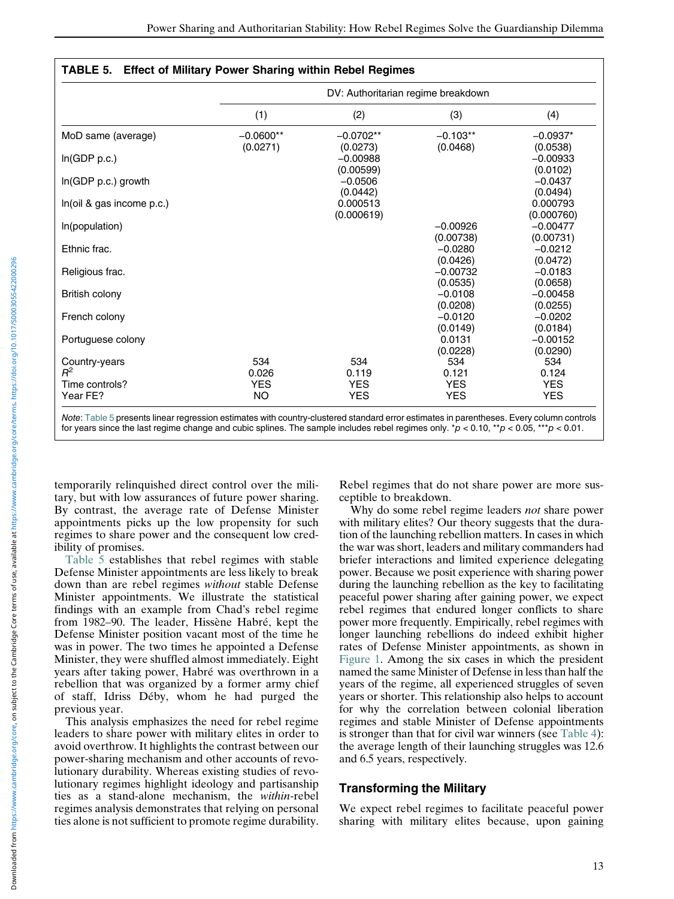<span id="page-12-0"></span>

|                            | DV: Authoritarian regime breakdown |                                     |                          |                                    |  |  |  |
|----------------------------|------------------------------------|-------------------------------------|--------------------------|------------------------------------|--|--|--|
|                            | (1)                                | (2)                                 | (3)                      | (4)                                |  |  |  |
| MoD same (average)         | $-0.0600**$                        | $-0.0702**$                         | $-0.103**$               | $-0.0937*$                         |  |  |  |
| In(GDP p.c.)               | (0.0271)                           | (0.0273)<br>$-0.00988$<br>(0.00599) | (0.0468)                 | (0.0538)<br>$-0.00933$<br>(0.0102) |  |  |  |
| $In(GDP p.c.)$ growth      |                                    | $-0.0506$<br>(0.0442)               |                          | $-0.0437$<br>(0.0494)              |  |  |  |
| In(oil & gas income p.c.)  |                                    | 0.000513<br>(0.000619)              |                          | 0.000793<br>(0.000760)             |  |  |  |
| In(population)             |                                    |                                     | $-0.00926$<br>(0.00738)  | $-0.00477$<br>(0.00731)            |  |  |  |
| Ethnic frac.               |                                    |                                     | $-0.0280$<br>(0.0426)    | $-0.0212$<br>(0.0472)              |  |  |  |
| Religious frac.            |                                    |                                     | $-0.00732$<br>(0.0535)   | $-0.0183$<br>(0.0658)              |  |  |  |
| British colony             |                                    |                                     | $-0.0108$<br>(0.0208)    | $-0.00458$<br>(0.0255)             |  |  |  |
| French colony              |                                    |                                     | $-0.0120$<br>(0.0149)    | $-0.0202$<br>(0.0184)              |  |  |  |
| Portuguese colony          |                                    |                                     | 0.0131<br>(0.0228)       | $-0.00152$<br>(0.0290)             |  |  |  |
| Country-years<br>$R^2$     | 534<br>0.026                       | 534<br>0.119                        | 534<br>0.121             | 534<br>0.124                       |  |  |  |
| Time controls?<br>Year FE? | <b>YES</b><br>NO.                  | <b>YES</b><br><b>YES</b>            | <b>YES</b><br><b>YES</b> | <b>YES</b><br><b>YES</b>           |  |  |  |

Note: [Table 5](#page-12-0) presents linear regression estimates with country-clustered standard error estimates in parentheses. Every column controls for years since the last regime change and cubic splines. The sample includes rebel regimes only.  $^*p$  < 0.10,  $^{**}p$  < 0.05,  $^{***}p$  < 0.01.

temporarily relinquished direct control over the military, but with low assurances of future power sharing. By contrast, the average rate of Defense Minister appointments picks up the low propensity for such regimes to share power and the consequent low credibility of promises.

[Table 5](#page-12-0) establishes that rebel regimes with stable Defense Minister appointments are less likely to break down than are rebel regimes without stable Defense Minister appointments. We illustrate the statistical findings with an example from Chad's rebel regime from 1982–90. The leader, Hissène Habré, kept the Defense Minister position vacant most of the time he was in power. The two times he appointed a Defense Minister, they were shuffled almost immediately. Eight years after taking power, Habré was overthrown in a rebellion that was organized by a former army chief of staff, Idriss Déby, whom he had purged the previous year.

This analysis emphasizes the need for rebel regime leaders to share power with military elites in order to avoid overthrow. It highlights the contrast between our power-sharing mechanism and other accounts of revolutionary durability. Whereas existing studies of revolutionary regimes highlight ideology and partisanship ties as a stand-alone mechanism, the within-rebel regimes analysis demonstrates that relying on personal ties alone is not sufficient to promote regime durability.

Rebel regimes that do not share power are more susceptible to breakdown.

Why do some rebel regime leaders *not* share power with military elites? Our theory suggests that the duration of the launching rebellion matters. In cases in which the war was short, leaders and military commanders had briefer interactions and limited experience delegating power. Because we posit experience with sharing power during the launching rebellion as the key to facilitating peaceful power sharing after gaining power, we expect rebel regimes that endured longer conflicts to share power more frequently. Empirically, rebel regimes with longer launching rebellions do indeed exhibit higher rates of Defense Minister appointments, as shown in [Figure 1](#page-13-0). Among the six cases in which the president named the same Minister of Defense in less than half the years of the regime, all experienced struggles of seven years or shorter. This relationship also helps to account for why the correlation between colonial liberation regimes and stable Minister of Defense appointments is stronger than that for civil war winners (see [Table 4\)](#page-11-0): the average length of their launching struggles was 12.6 and 6.5 years, respectively.

## Transforming the Military

We expect rebel regimes to facilitate peaceful power sharing with military elites because, upon gaining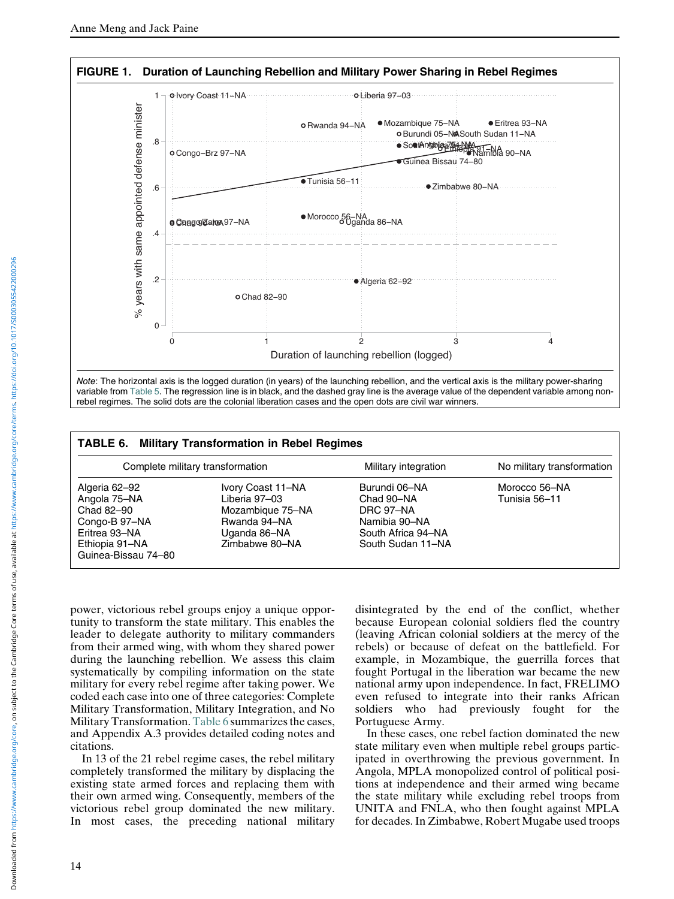<span id="page-13-0"></span>

rebel regimes. The solid dots are the colonial liberation cases and the open dots are civil war winners.

<span id="page-13-1"></span>

| <b>TABLE 6. Military Transformation in Rebel Regimes</b>                                                               |                                                                                                          |                                                                                                      |                                |  |  |  |  |
|------------------------------------------------------------------------------------------------------------------------|----------------------------------------------------------------------------------------------------------|------------------------------------------------------------------------------------------------------|--------------------------------|--|--|--|--|
| Complete military transformation                                                                                       |                                                                                                          | Military integration                                                                                 | No military transformation     |  |  |  |  |
| Algeria 62-92<br>Angola 75-NA<br>Chad 82-90<br>Congo-B 97-NA<br>Eritrea 93-NA<br>Ethiopia 91-NA<br>Guinea-Bissau 74-80 | Ivory Coast 11-NA<br>Liberia 97-03<br>Mozambique 75-NA<br>Rwanda 94-NA<br>Uganda 86-NA<br>Zimbabwe 80-NA | Burundi 06-NA<br>Chad 90-NA<br>DRC 97-NA<br>Namibia 90-NA<br>South Africa 94-NA<br>South Sudan 11-NA | Morocco 56-NA<br>Tunisia 56–11 |  |  |  |  |

power, victorious rebel groups enjoy a unique opportunity to transform the state military. This enables the leader to delegate authority to military commanders from their armed wing, with whom they shared power during the launching rebellion. We assess this claim systematically by compiling information on the state military for every rebel regime after taking power. We coded each case into one of three categories: Complete Military Transformation, Military Integration, and No Military Transformation. [Table 6](#page-13-1) summarizes the cases, and Appendix A.3 provides detailed coding notes and citations.

In 13 of the 21 rebel regime cases, the rebel military completely transformed the military by displacing the existing state armed forces and replacing them with their own armed wing. Consequently, members of the victorious rebel group dominated the new military. In most cases, the preceding national military disintegrated by the end of the conflict, whether because European colonial soldiers fled the country (leaving African colonial soldiers at the mercy of the rebels) or because of defeat on the battlefield. For example, in Mozambique, the guerrilla forces that fought Portugal in the liberation war became the new national army upon independence. In fact, FRELIMO even refused to integrate into their ranks African soldiers who had previously fought for the Portuguese Army.

In these cases, one rebel faction dominated the new state military even when multiple rebel groups participated in overthrowing the previous government. In Angola, MPLA monopolized control of political positions at independence and their armed wing became the state military while excluding rebel troops from UNITA and FNLA, who then fought against MPLA for decades. In Zimbabwe, Robert Mugabe used troops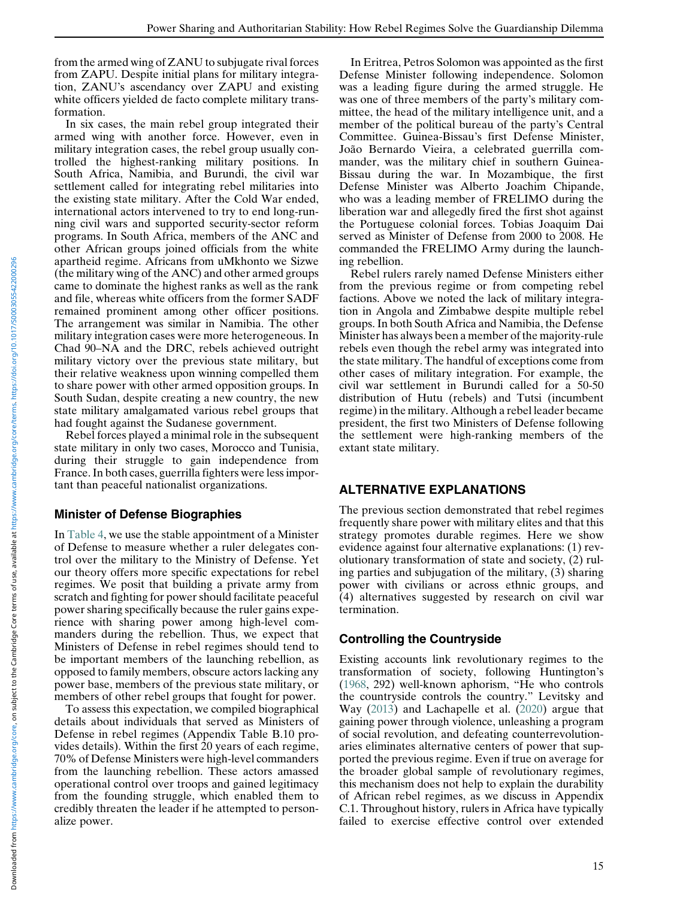from the armed wing of ZANU to subjugate rival forces from ZAPU. Despite initial plans for military integration, ZANU's ascendancy over ZAPU and existing white officers yielded de facto complete military transformation.

In six cases, the main rebel group integrated their armed wing with another force. However, even in military integration cases, the rebel group usually controlled the highest-ranking military positions. In South Africa, Namibia, and Burundi, the civil war settlement called for integrating rebel militaries into the existing state military. After the Cold War ended, international actors intervened to try to end long-running civil wars and supported security-sector reform programs. In South Africa, members of the ANC and other African groups joined officials from the white apartheid regime. Africans from uMkhonto we Sizwe (the military wing of the ANC) and other armed groups came to dominate the highest ranks as well as the rank and file, whereas white officers from the former SADF remained prominent among other officer positions. The arrangement was similar in Namibia. The other military integration cases were more heterogeneous. In Chad 90–NA and the DRC, rebels achieved outright military victory over the previous state military, but their relative weakness upon winning compelled them to share power with other armed opposition groups. In South Sudan, despite creating a new country, the new state military amalgamated various rebel groups that had fought against the Sudanese government.

Rebel forces played a minimal role in the subsequent state military in only two cases, Morocco and Tunisia, during their struggle to gain independence from France. In both cases, guerrilla fighters were less important than peaceful nationalist organizations.

## Minister of Defense Biographies

In [Table 4](#page-11-0), we use the stable appointment of a Minister of Defense to measure whether a ruler delegates control over the military to the Ministry of Defense. Yet our theory offers more specific expectations for rebel regimes. We posit that building a private army from scratch and fighting for power should facilitate peaceful power sharing specifically because the ruler gains experience with sharing power among high-level commanders during the rebellion. Thus, we expect that Ministers of Defense in rebel regimes should tend to be important members of the launching rebellion, as opposed to family members, obscure actors lacking any power base, members of the previous state military, or members of other rebel groups that fought for power.

To assess this expectation, we compiled biographical details about individuals that served as Ministers of Defense in rebel regimes (Appendix Table B.10 provides details). Within the first 20 years of each regime, 70% of Defense Ministers were high-level commanders from the launching rebellion. These actors amassed operational control over troops and gained legitimacy from the founding struggle, which enabled them to credibly threaten the leader if he attempted to personalize power.

In Eritrea, Petros Solomon was appointed as the first Defense Minister following independence. Solomon was a leading figure during the armed struggle. He was one of three members of the party's military committee, the head of the military intelligence unit, and a member of the political bureau of the party's Central Committee. Guinea-Bissau's first Defense Minister, João Bernardo Vieira, a celebrated guerrilla commander, was the military chief in southern Guinea-Bissau during the war. In Mozambique, the first Defense Minister was Alberto Joachim Chipande, who was a leading member of FRELIMO during the liberation war and allegedly fired the first shot against the Portuguese colonial forces. Tobias Joaquim Dai served as Minister of Defense from 2000 to 2008. He commanded the FRELIMO Army during the launching rebellion.

Rebel rulers rarely named Defense Ministers either from the previous regime or from competing rebel factions. Above we noted the lack of military integration in Angola and Zimbabwe despite multiple rebel groups. In both South Africa and Namibia, the Defense Minister has always been a member of the majority-rule rebels even though the rebel army was integrated into the state military. The handful of exceptions come from other cases of military integration. For example, the civil war settlement in Burundi called for a 50-50 distribution of Hutu (rebels) and Tutsi (incumbent regime) in the military. Although a rebel leader became president, the first two Ministers of Defense following the settlement were high-ranking members of the extant state military.

## ALTERNATIVE EXPLANATIONS

The previous section demonstrated that rebel regimes frequently share power with military elites and that this strategy promotes durable regimes. Here we show evidence against four alternative explanations: (1) revolutionary transformation of state and society, (2) ruling parties and subjugation of the military, (3) sharing power with civilians or across ethnic groups, and (4) alternatives suggested by research on civil war termination.

# Controlling the Countryside

Existing accounts link revolutionary regimes to the transformation of society, following Huntington's ([1968,](#page-17-0) 292) well-known aphorism, "He who controls the countryside controls the country." Levitsky and Way [\(2013\)](#page-17-8) and Lachapelle et al. [\(2020](#page-17-7)) argue that gaining power through violence, unleashing a program of social revolution, and defeating counterrevolutionaries eliminates alternative centers of power that supported the previous regime. Even if true on average for the broader global sample of revolutionary regimes, this mechanism does not help to explain the durability of African rebel regimes, as we discuss in Appendix C.1. Throughout history, rulers in Africa have typically failed to exercise effective control over extended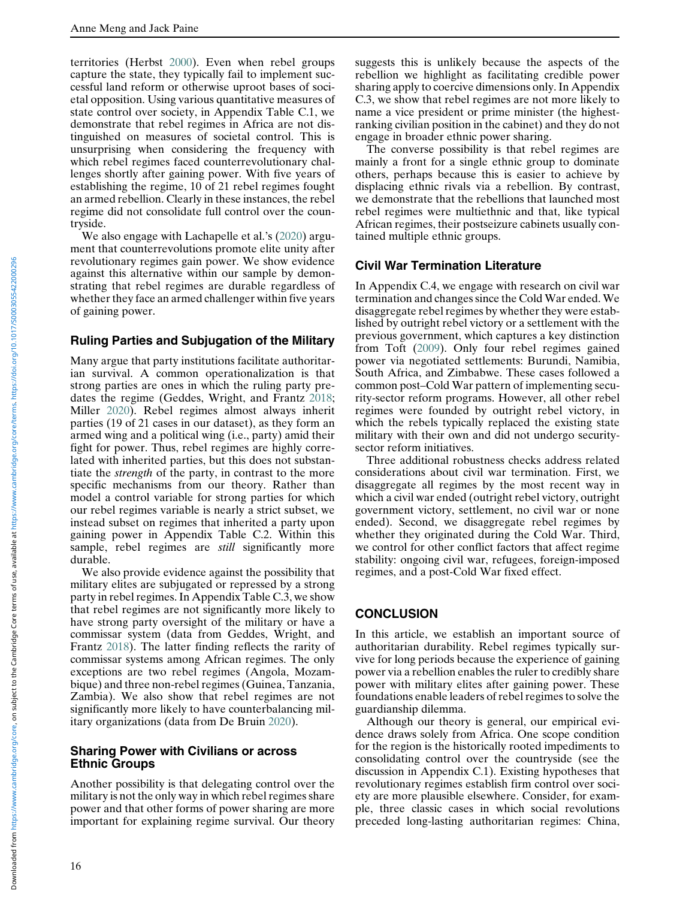territories (Herbst [2000](#page-16-6)). Even when rebel groups capture the state, they typically fail to implement successful land reform or otherwise uproot bases of societal opposition. Using various quantitative measures of state control over society, in Appendix Table C.1, we demonstrate that rebel regimes in Africa are not distinguished on measures of societal control. This is unsurprising when considering the frequency with which rebel regimes faced counterrevolutionary challenges shortly after gaining power. With five years of establishing the regime, 10 of 21 rebel regimes fought an armed rebellion. Clearly in these instances, the rebel regime did not consolidate full control over the countryside.

We also engage with Lachapelle et al.'s [\(2020](#page-17-7)) argument that counterrevolutions promote elite unity after revolutionary regimes gain power. We show evidence against this alternative within our sample by demonstrating that rebel regimes are durable regardless of whether they face an armed challenger within five years of gaining power.

## Ruling Parties and Subjugation of the Military

Many argue that party institutions facilitate authoritarian survival. A common operationalization is that strong parties are ones in which the ruling party predates the regime (Geddes, Wright, and Frantz [2018;](#page-16-2) Miller [2020](#page-17-9)). Rebel regimes almost always inherit parties (19 of 21 cases in our dataset), as they form an armed wing and a political wing (i.e., party) amid their fight for power. Thus, rebel regimes are highly correlated with inherited parties, but this does not substantiate the strength of the party, in contrast to the more specific mechanisms from our theory. Rather than model a control variable for strong parties for which our rebel regimes variable is nearly a strict subset, we instead subset on regimes that inherited a party upon gaining power in Appendix Table C.2. Within this sample, rebel regimes are *still* significantly more durable.

We also provide evidence against the possibility that military elites are subjugated or repressed by a strong party in rebel regimes. In Appendix Table C.3, we show that rebel regimes are not significantly more likely to have strong party oversight of the military or have a commissar system (data from Geddes, Wright, and Frantz [2018\)](#page-16-2). The latter finding reflects the rarity of commissar systems among African regimes. The only exceptions are two rebel regimes (Angola, Mozambique) and three non-rebel regimes (Guinea, Tanzania, Zambia). We also show that rebel regimes are not significantly more likely to have counterbalancing military organizations (data from De Bruin [2020\)](#page-16-17).

#### Sharing Power with Civilians or across Ethnic Groups

Another possibility is that delegating control over the military is not the only way in which rebel regimes share power and that other forms of power sharing are more important for explaining regime survival. Our theory suggests this is unlikely because the aspects of the rebellion we highlight as facilitating credible power sharing apply to coercive dimensions only. In Appendix C.3, we show that rebel regimes are not more likely to name a vice president or prime minister (the highestranking civilian position in the cabinet) and they do not engage in broader ethnic power sharing.

The converse possibility is that rebel regimes are mainly a front for a single ethnic group to dominate others, perhaps because this is easier to achieve by displacing ethnic rivals via a rebellion. By contrast, we demonstrate that the rebellions that launched most rebel regimes were multiethnic and that, like typical African regimes, their postseizure cabinets usually contained multiple ethnic groups.

## Civil War Termination Literature

In Appendix C.4, we engage with research on civil war termination and changes since the Cold War ended. We disaggregate rebel regimes by whether they were established by outright rebel victory or a settlement with the previous government, which captures a key distinction from Toft ([2009\)](#page-17-3). Only four rebel regimes gained power via negotiated settlements: Burundi, Namibia, South Africa, and Zimbabwe. These cases followed a common post–Cold War pattern of implementing security-sector reform programs. However, all other rebel regimes were founded by outright rebel victory, in which the rebels typically replaced the existing state military with their own and did not undergo securitysector reform initiatives.

Three additional robustness checks address related considerations about civil war termination. First, we disaggregate all regimes by the most recent way in which a civil war ended (outright rebel victory, outright government victory, settlement, no civil war or none ended). Second, we disaggregate rebel regimes by whether they originated during the Cold War. Third, we control for other conflict factors that affect regime stability: ongoing civil war, refugees, foreign-imposed regimes, and a post-Cold War fixed effect.

## **CONCLUSION**

In this article, we establish an important source of authoritarian durability. Rebel regimes typically survive for long periods because the experience of gaining power via a rebellion enables the ruler to credibly share power with military elites after gaining power. These foundations enable leaders of rebel regimes to solve the guardianship dilemma.

Although our theory is general, our empirical evidence draws solely from Africa. One scope condition for the region is the historically rooted impediments to consolidating control over the countryside (see the discussion in Appendix C.1). Existing hypotheses that revolutionary regimes establish firm control over society are more plausible elsewhere. Consider, for example, three classic cases in which social revolutions preceded long-lasting authoritarian regimes: China,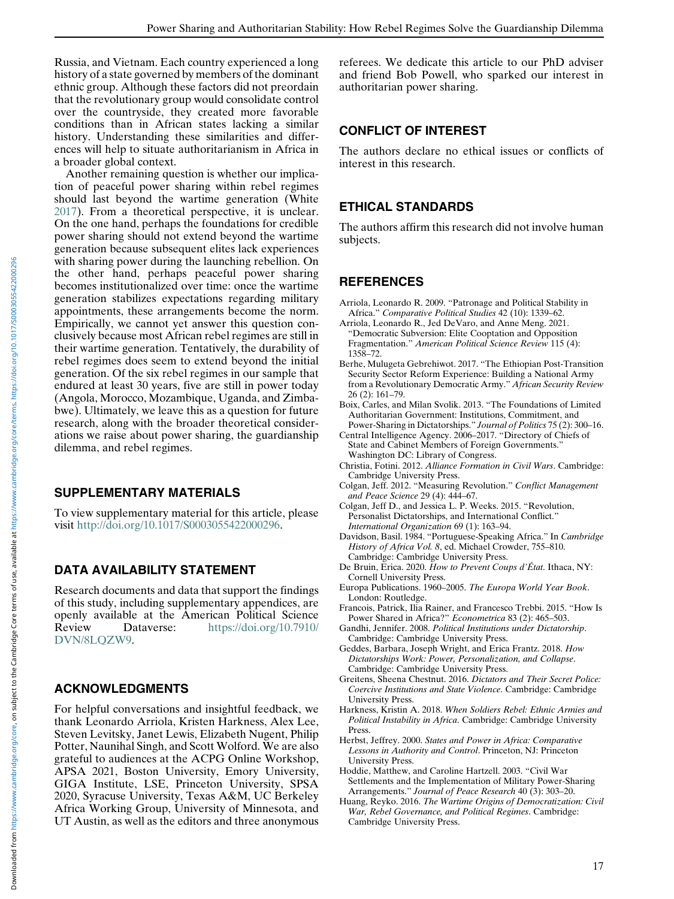Russia, and Vietnam. Each country experienced a long history of a state governed by members of the dominant ethnic group. Although these factors did not preordain that the revolutionary group would consolidate control over the countryside, they created more favorable conditions than in African states lacking a similar history. Understanding these similarities and differences will help to situate authoritarianism in Africa in a broader global context.

<span id="page-16-11"></span><span id="page-16-4"></span>Another remaining question is whether our implication of peaceful power sharing within rebel regimes should last beyond the wartime generation (White [2017\)](#page-17-25). From a theoretical perspective, it is unclear. On the one hand, perhaps the foundations for credible power sharing should not extend beyond the wartime generation because subsequent elites lack experiences with sharing power during the launching rebellion. On the other hand, perhaps peaceful power sharing becomes institutionalized over time: once the wartime generation stabilizes expectations regarding military appointments, these arrangements become the norm. Empirically, we cannot yet answer this question conclusively because most African rebel regimes are still in their wartime generation. Tentatively, the durability of rebel regimes does seem to extend beyond the initial generation. Of the six rebel regimes in our sample that endured at least 30 years, five are still in power today (Angola, Morocco, Mozambique, Uganda, and Zimbabwe). Ultimately, we leave this as a question for future research, along with the broader theoretical considerations we raise about power sharing, the guardianship dilemma, and rebel regimes.

## <span id="page-16-16"></span><span id="page-16-14"></span><span id="page-16-13"></span><span id="page-16-12"></span><span id="page-16-9"></span>SUPPLEMENTARY MATERIALS

<span id="page-16-10"></span>To view supplementary material for this article, please visit [http://doi.org/10.1017/S0003055422000296.](http://doi.org/10.1017/S0003055422000296)

# <span id="page-16-17"></span>DATA AVAILABILITY STATEMENT

<span id="page-16-15"></span><span id="page-16-8"></span><span id="page-16-3"></span>Research documents and data that support the findings of this study, including supplementary appendices, are openly available at the American Political Science Review Dataverse: [https://doi.org/10.7910/](https://doi.org/10.7910/DVN/8LQZW9) [DVN/8LQZW9.](https://doi.org/10.7910/DVN/8LQZW9)

# <span id="page-16-2"></span><span id="page-16-0"></span>ACKNOWLEDGMENTS

<span id="page-16-7"></span><span id="page-16-6"></span><span id="page-16-5"></span><span id="page-16-1"></span>For helpful conversations and insightful feedback, we thank Leonardo Arriola, Kristen Harkness, Alex Lee, Steven Levitsky, Janet Lewis, Elizabeth Nugent, Philip Potter, Naunihal Singh, and Scott Wolford. We are also grateful to audiences at the ACPG Online Workshop, APSA 2021, Boston University, Emory University, GIGA Institute, LSE, Princeton University, SPSA 2020, Syracuse University, Texas A&M, UC Berkeley Africa Working Group, University of Minnesota, and UT Austin, as well as the editors and three anonymous referees. We dedicate this article to our PhD adviser and friend Bob Powell, who sparked our interest in authoritarian power sharing.

# CONFLICT OF INTEREST

The authors declare no ethical issues or conflicts of interest in this research.

# ETHICAL STANDARDS

The authors affirm this research did not involve human subjects.

# **REFERENCES**

- Arriola, Leonardo R. 2009. "Patronage and Political Stability in Africa." Comparative Political Studies 42 (10): 1339–62.
- Arriola, Leonardo R., Jed DeVaro, and Anne Meng. 2021. "Democratic Subversion: Elite Cooptation and Opposition Fragmentation." American Political Science Review 115 (4): 1358–72.
- Berhe, Mulugeta Gebrehiwot. 2017. "The Ethiopian Post-Transition Security Sector Reform Experience: Building a National Army from a Revolutionary Democratic Army." African Security Review 26 (2): 161–79.
- Boix, Carles, and Milan Svolik. 2013. "The Foundations of Limited Authoritarian Government: Institutions, Commitment, and Power-Sharing in Dictatorships." Journal of Politics 75 (2): 300-16.
- Central Intelligence Agency. 2006–2017. "Directory of Chiefs of State and Cabinet Members of Foreign Governments." Washington DC: Library of Congress.
- Christia, Fotini. 2012. Alliance Formation in Civil Wars. Cambridge: Cambridge University Press.
- Colgan, Jeff. 2012. "Measuring Revolution." Conflict Management and Peace Science 29 (4): 444–67.
- Colgan, Jeff D., and Jessica L. P. Weeks. 2015. "Revolution, Personalist Dictatorships, and International Conflict." International Organization 69 (1): 163–94.
- Davidson, Basil. 1984. "Portuguese-Speaking Africa." In Cambridge History of Africa Vol. 8, ed. Michael Crowder, 755–810. Cambridge: Cambridge University Press.
- De Bruin, Erica. 2020. How to Prevent Coups d'État. Ithaca, NY: Cornell University Press.
- Europa Publications. 1960–2005. The Europa World Year Book. London: Routledge.
- Francois, Patrick, Ilia Rainer, and Francesco Trebbi. 2015. "How Is Power Shared in Africa?" Econometrica 83 (2): 465–503.
- Gandhi, Jennifer. 2008. Political Institutions under Dictatorship. Cambridge: Cambridge University Press.
- Geddes, Barbara, Joseph Wright, and Erica Frantz. 2018. How Dictatorships Work: Power, Personalization, and Collapse. Cambridge: Cambridge University Press.
- Greitens, Sheena Chestnut. 2016. Dictators and Their Secret Police: Coercive Institutions and State Violence. Cambridge: Cambridge University Press.
- Harkness, Kristin A. 2018. When Soldiers Rebel: Ethnic Armies and Political Instability in Africa. Cambridge: Cambridge University Press.
- Herbst, Jeffrey. 2000. States and Power in Africa: Comparative Lessons in Authority and Control. Princeton, NJ: Princeton University Press.
- Hoddie, Matthew, and Caroline Hartzell. 2003. "Civil War Settlements and the Implementation of Military Power-Sharing Arrangements." Journal of Peace Research 40 (3): 303–20.
- Huang, Reyko. 2016. The Wartime Origins of Democratization: Civil War, Rebel Governance, and Political Regimes. Cambridge: Cambridge University Press.